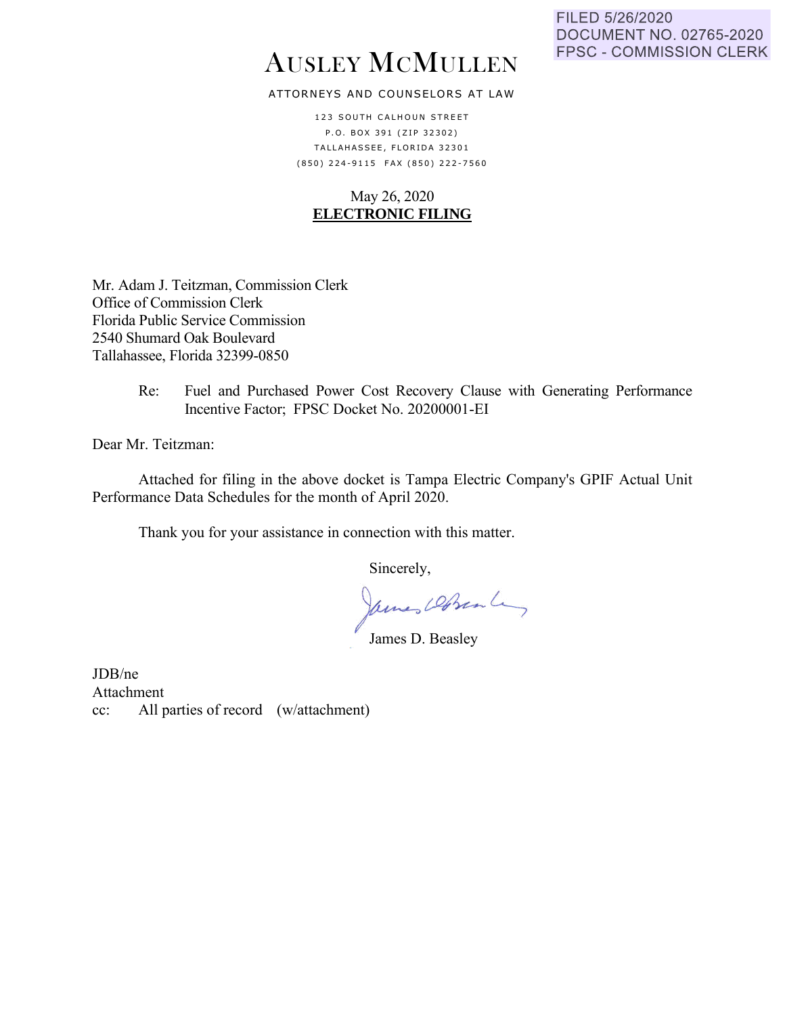# AUSLEY MCMULLEN

## ATTORNEYS AND COUNSELORS AT LAW

123 SOUTH CALHOUN STREET P.O. BOX 391 (ZIP 32302) TALLAHASSEE, FLORIDA 32301 ( 8 5 0 ) 2 2 4 - 9 1 1 5 F A X ( 8 5 0 ) 2 2 2 - 7 5 6 0

## May 26, 2020 **ELECTRONIC FILING**

Mr. Adam J. Teitzman, Commission Clerk Office of Commission Clerk Florida Public Service Commission 2540 Shumard Oak Boulevard Tallahassee, Florida 32399-0850

> Re: Fuel and Purchased Power Cost Recovery Clause with Generating Performance Incentive Factor; FPSC Docket No. 20200001-EI

Dear Mr. Teitzman:

Attached for filing in the above docket is Tampa Electric Company's GPIF Actual Unit Performance Data Schedules for the month of April 2020.

Thank you for your assistance in connection with this matter.

Sincerely,

James DeBrenley

JDB/ne Attachment cc: All parties of record (w/attachment)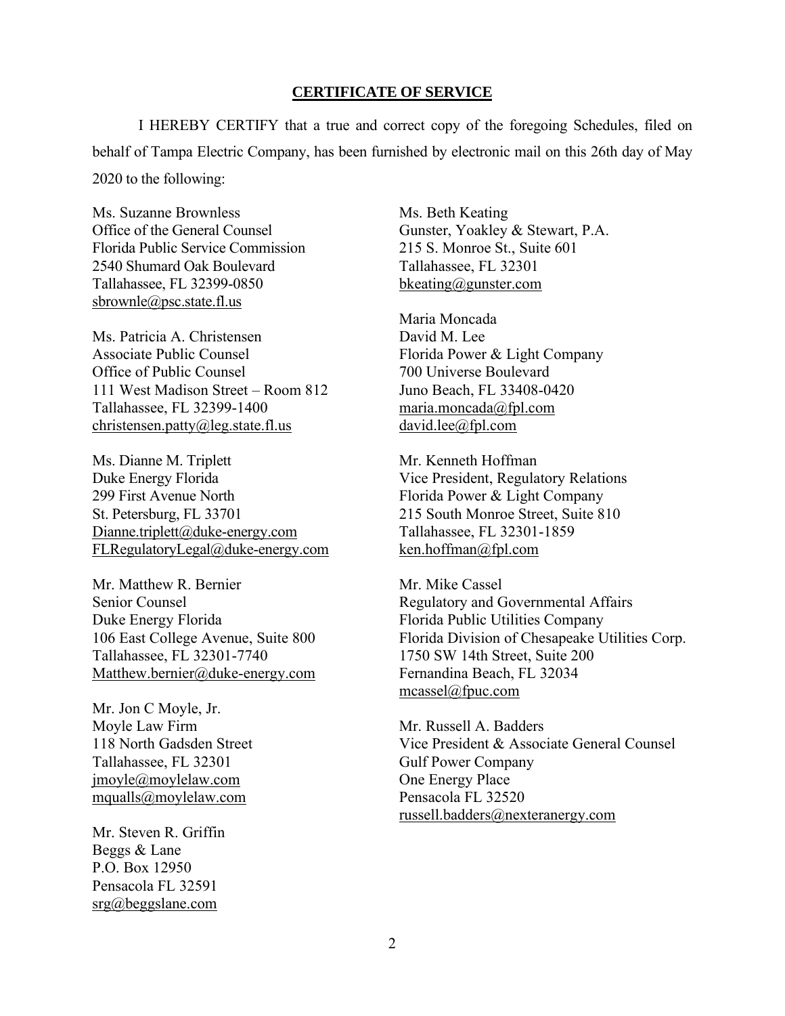## **CERTIFICATE OF SERVICE**

I HEREBY CERTIFY that a true and correct copy of the foregoing Schedules, filed on behalf of Tampa Electric Company, has been furnished by electronic mail on this 26th day of May 2020 to the following:

Ms. Suzanne Brownless Office of the General Counsel Florida Public Service Commission 2540 Shumard Oak Boulevard Tallahassee, FL 32399-0850 sbrownle@psc.state.fl.us

Ms. Patricia A. Christensen Associate Public Counsel Office of Public Counsel 111 West Madison Street – Room 812 Tallahassee, FL 32399-1400 christensen.patty@leg.state.fl.us

Ms. Dianne M. Triplett Duke Energy Florida 299 First Avenue North St. Petersburg, FL 33701 Dianne.triplett@duke-energy.com FLRegulatoryLegal@duke-energy.com

Mr. Matthew R. Bernier Senior Counsel Duke Energy Florida 106 East College Avenue, Suite 800 Tallahassee, FL 32301-7740 Matthew.bernier@duke-energy.com

Mr. Jon C Moyle, Jr. Moyle Law Firm 118 North Gadsden Street Tallahassee, FL 32301 jmoyle@moylelaw.com mqualls@moylelaw.com

Mr. Steven R. Griffin Beggs & Lane P.O. Box 12950 Pensacola FL 32591 srg@beggslane.com

Ms. Beth Keating Gunster, Yoakley & Stewart, P.A. 215 S. Monroe St., Suite 601 Tallahassee, FL 32301 bkeating@gunster.com

Maria Moncada David M. Lee Florida Power & Light Company 700 Universe Boulevard Juno Beach, FL 33408-0420 maria.moncada@fpl.com david.lee@fpl.com

Mr. Kenneth Hoffman Vice President, Regulatory Relations Florida Power & Light Company 215 South Monroe Street, Suite 810 Tallahassee, FL 32301-1859 ken.hoffman@fpl.com

Mr. Mike Cassel Regulatory and Governmental Affairs Florida Public Utilities Company Florida Division of Chesapeake Utilities Corp. 1750 SW 14th Street, Suite 200 Fernandina Beach, FL 32034 mcassel@fpuc.com

Mr. Russell A. Badders Vice President & Associate General Counsel Gulf Power Company One Energy Place Pensacola FL 32520 russell.badders@nexteranergy.com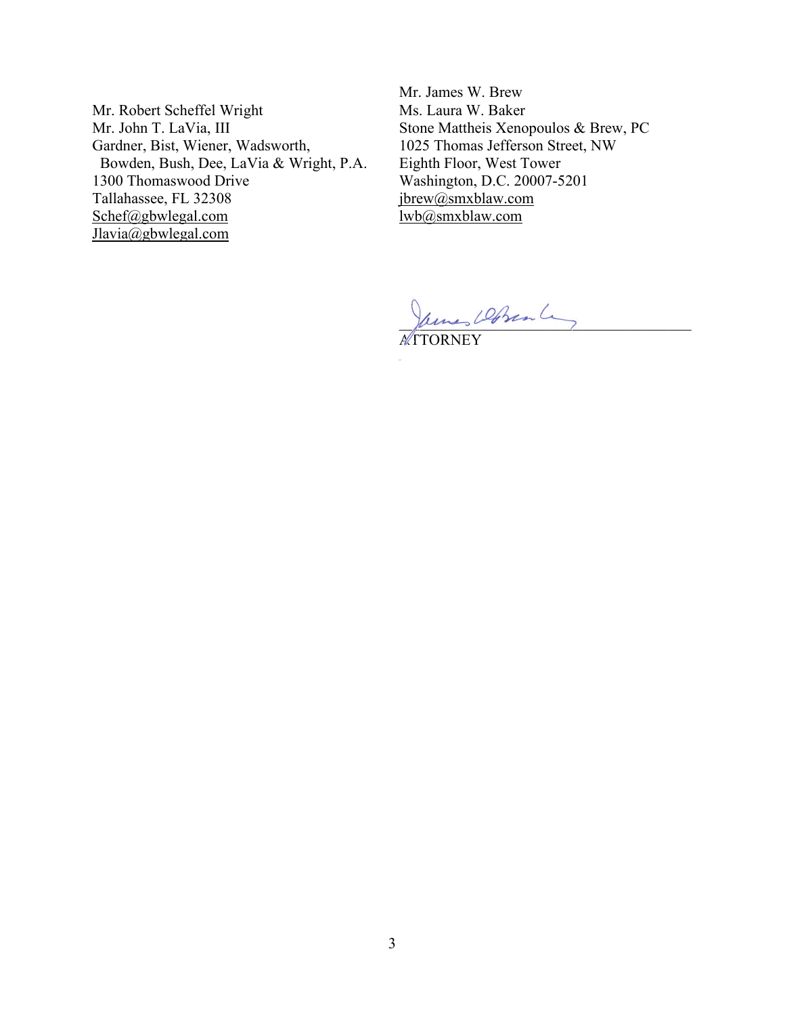Mr. Robert Scheffel Wright Mr. John T. LaVia, III Gardner, Bist, Wiener, Wadsworth, Bowden, Bush, Dee, LaVia & Wright, P.A. 1300 Thomaswood Drive Tallahassee, FL 32308 Schef@gbwlegal.com Jlavia@gbwlegal.com

Mr. James W. Brew Ms. Laura W. Baker Stone Mattheis Xenopoulos & Brew, PC 1025 Thomas Jefferson Street, NW Eighth Floor, West Tower Washington, D.C. 20007-5201 jbrew@smxblaw.com lwb@smxblaw.com

 $\mu$ ms von

ATTORNEY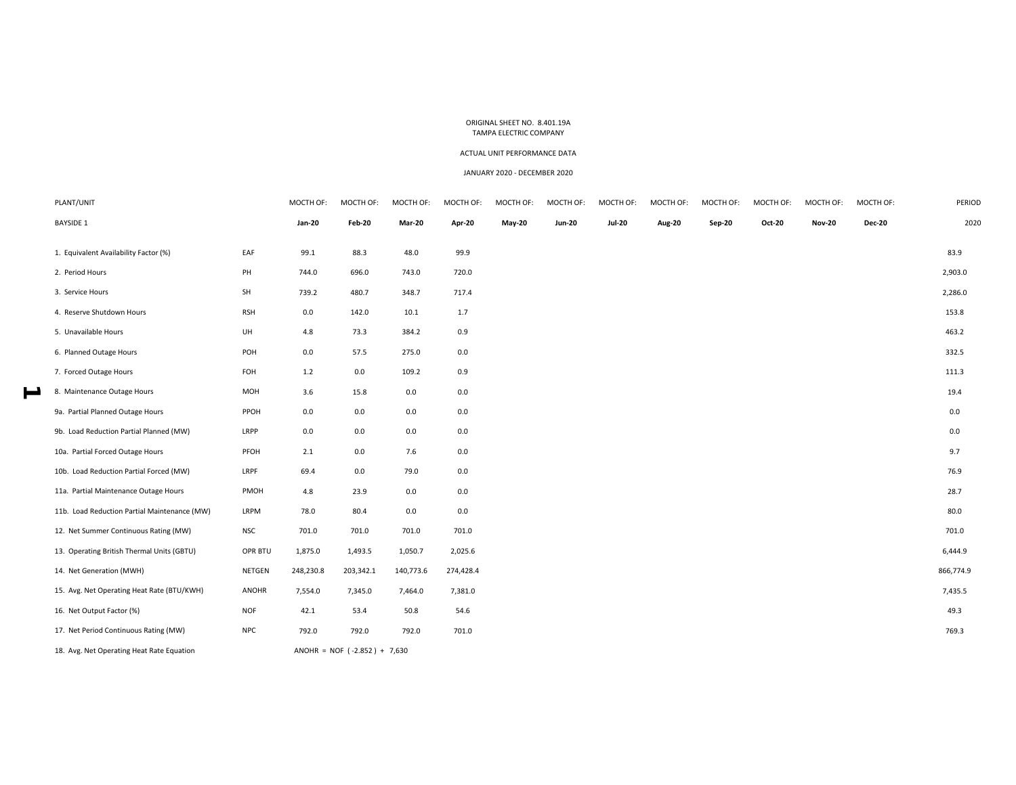### ACTUAL UNIT PERFORMANCE DATA

#### JANUARY 2020 ‐ DECEMBER 2020

| PLANT/UNIT                                   |            | MOCTH OF:     | MOCTH OF:                      | MOCTH OF:     | MOCTH OF: | MOCTH OF:     | MOCTH OF:     | MOCTH OF:     | MOCTH OF: | MOCTH OF: | MOCTH OF:     | MOCTH OF:     | MOCTH OF:     | PERIOD    |
|----------------------------------------------|------------|---------------|--------------------------------|---------------|-----------|---------------|---------------|---------------|-----------|-----------|---------------|---------------|---------------|-----------|
| <b>BAYSIDE 1</b>                             |            | <b>Jan-20</b> | Feb-20                         | <b>Mar-20</b> | Apr-20    | <b>May-20</b> | <b>Jun-20</b> | <b>Jul-20</b> | Aug-20    | Sep-20    | <b>Oct-20</b> | <b>Nov-20</b> | <b>Dec-20</b> | 2020      |
| 1. Equivalent Availability Factor (%)        | EAF        | 99.1          | 88.3                           | 48.0          | 99.9      |               |               |               |           |           |               |               |               | 83.9      |
| 2. Period Hours                              | PH         | 744.0         | 696.0                          | 743.0         | 720.0     |               |               |               |           |           |               |               |               | 2,903.0   |
| 3. Service Hours                             | SH         | 739.2         | 480.7                          | 348.7         | 717.4     |               |               |               |           |           |               |               |               | 2,286.0   |
| 4. Reserve Shutdown Hours                    | <b>RSH</b> | 0.0           | 142.0                          | 10.1          | 1.7       |               |               |               |           |           |               |               |               | 153.8     |
| 5. Unavailable Hours                         | UH         | 4.8           | 73.3                           | 384.2         | 0.9       |               |               |               |           |           |               |               |               | 463.2     |
| 6. Planned Outage Hours                      | POH        | 0.0           | 57.5                           | 275.0         | 0.0       |               |               |               |           |           |               |               |               | 332.5     |
| 7. Forced Outage Hours                       | FOH        | $1.2$         | 0.0                            | 109.2         | 0.9       |               |               |               |           |           |               |               |               | 111.3     |
| 8. Maintenance Outage Hours                  | MOH        | 3.6           | 15.8                           | 0.0           | 0.0       |               |               |               |           |           |               |               |               | 19.4      |
| 9a. Partial Planned Outage Hours             | PPOH       | 0.0           | 0.0                            | 0.0           | 0.0       |               |               |               |           |           |               |               |               | 0.0       |
| 9b. Load Reduction Partial Planned (MW)      | LRPP       | 0.0           | 0.0                            | 0.0           | 0.0       |               |               |               |           |           |               |               |               | 0.0       |
| 10a. Partial Forced Outage Hours             | PFOH       | 2.1           | 0.0                            | 7.6           | 0.0       |               |               |               |           |           |               |               |               | 9.7       |
| 10b. Load Reduction Partial Forced (MW)      | LRPF       | 69.4          | 0.0                            | 79.0          | 0.0       |               |               |               |           |           |               |               |               | 76.9      |
| 11a. Partial Maintenance Outage Hours        | PMOH       | 4.8           | 23.9                           | 0.0           | 0.0       |               |               |               |           |           |               |               |               | 28.7      |
| 11b. Load Reduction Partial Maintenance (MW) | LRPM       | 78.0          | 80.4                           | 0.0           | 0.0       |               |               |               |           |           |               |               |               | 80.0      |
| 12. Net Summer Continuous Rating (MW)        | <b>NSC</b> | 701.0         | 701.0                          | 701.0         | 701.0     |               |               |               |           |           |               |               |               | 701.0     |
| 13. Operating British Thermal Units (GBTU)   | OPR BTU    | 1,875.0       | 1,493.5                        | 1,050.7       | 2,025.6   |               |               |               |           |           |               |               |               | 6,444.9   |
| 14. Net Generation (MWH)                     | NETGEN     | 248,230.8     | 203,342.1                      | 140,773.6     | 274,428.4 |               |               |               |           |           |               |               |               | 866,774.9 |
| 15. Avg. Net Operating Heat Rate (BTU/KWH)   | ANOHR      | 7,554.0       | 7,345.0                        | 7,464.0       | 7,381.0   |               |               |               |           |           |               |               |               | 7,435.5   |
| 16. Net Output Factor (%)                    | <b>NOF</b> | 42.1          | 53.4                           | 50.8          | 54.6      |               |               |               |           |           |               |               |               | 49.3      |
| 17. Net Period Continuous Rating (MW)        | <b>NPC</b> | 792.0         | 792.0                          | 792.0         | 701.0     |               |               |               |           |           |               |               |               | 769.3     |
| 18. Avg. Net Operating Heat Rate Equation    |            |               | ANOHR = NOF $(-2.852) + 7,630$ |               |           |               |               |               |           |           |               |               |               |           |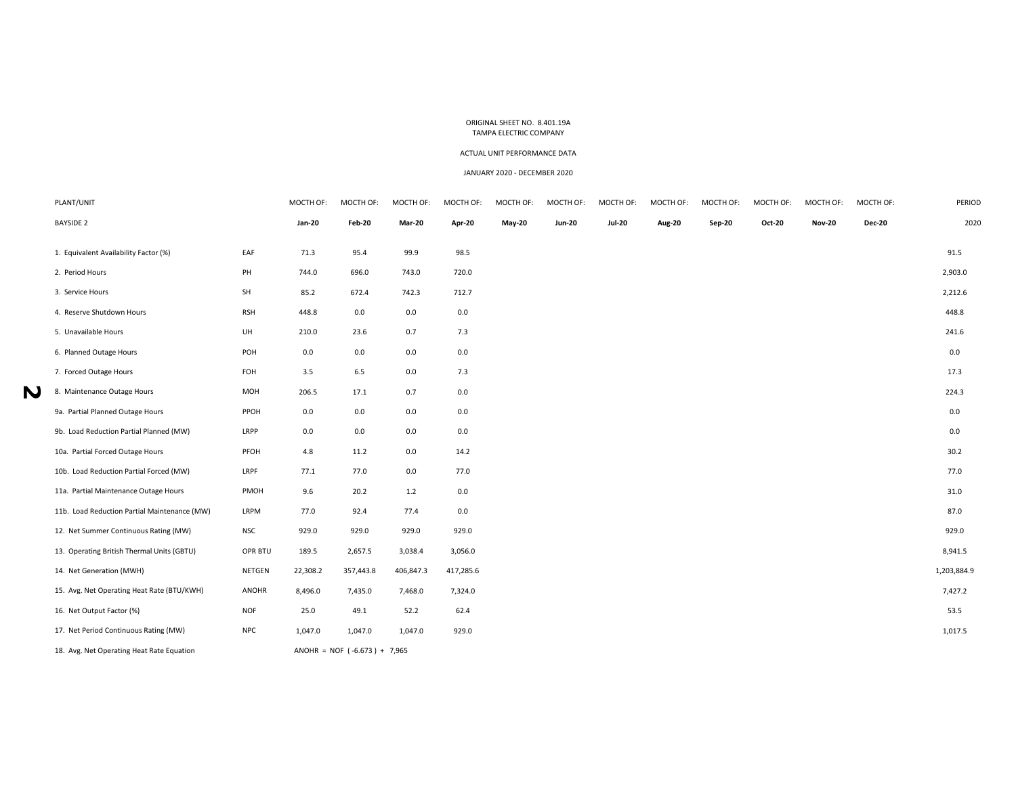### ACTUAL UNIT PERFORMANCE DATA

#### JANUARY 2020 ‐ DECEMBER 2020

| PLANT/UNIT                                   |              | MOCTH OF:     | MOCTH OF:                      | MOCTH OF:     | MOCTH OF: | MOCTH OF:     | MOCTH OF:     | MOCTH OF:     | MOCTH OF:     | MOCTH OF:     | MOCTH OF:     | MOCTH OF:     | MOCTH OF:     | PERIOD      |
|----------------------------------------------|--------------|---------------|--------------------------------|---------------|-----------|---------------|---------------|---------------|---------------|---------------|---------------|---------------|---------------|-------------|
| <b>BAYSIDE 2</b>                             |              | <b>Jan-20</b> | Feb-20                         | <b>Mar-20</b> | Apr-20    | <b>May-20</b> | <b>Jun-20</b> | <b>Jul-20</b> | <b>Aug-20</b> | <b>Sep-20</b> | <b>Oct-20</b> | <b>Nov-20</b> | <b>Dec-20</b> | 2020        |
|                                              |              |               |                                |               |           |               |               |               |               |               |               |               |               |             |
| 1. Equivalent Availability Factor (%)        | EAF          | 71.3          | 95.4                           | 99.9          | 98.5      |               |               |               |               |               |               |               |               | 91.5        |
| 2. Period Hours                              | PH           | 744.0         | 696.0                          | 743.0         | 720.0     |               |               |               |               |               |               |               |               | 2,903.0     |
| 3. Service Hours                             | SH           | 85.2          | 672.4                          | 742.3         | 712.7     |               |               |               |               |               |               |               |               | 2,212.6     |
| 4. Reserve Shutdown Hours                    | <b>RSH</b>   | 448.8         | 0.0                            | 0.0           | 0.0       |               |               |               |               |               |               |               |               | 448.8       |
| 5. Unavailable Hours                         | UH           | 210.0         | 23.6                           | 0.7           | 7.3       |               |               |               |               |               |               |               |               | 241.6       |
| 6. Planned Outage Hours                      | POH          | 0.0           | 0.0                            | 0.0           | 0.0       |               |               |               |               |               |               |               |               | 0.0         |
| 7. Forced Outage Hours                       | FOH          | 3.5           | 6.5                            | 0.0           | 7.3       |               |               |               |               |               |               |               |               | 17.3        |
| 8. Maintenance Outage Hours                  | MOH          | 206.5         | 17.1                           | 0.7           | 0.0       |               |               |               |               |               |               |               |               | 224.3       |
| 9a. Partial Planned Outage Hours             | PPOH         | 0.0           | 0.0                            | 0.0           | 0.0       |               |               |               |               |               |               |               |               | 0.0         |
| 9b. Load Reduction Partial Planned (MW)      | LRPP         | 0.0           | 0.0                            | 0.0           | 0.0       |               |               |               |               |               |               |               |               | 0.0         |
| 10a. Partial Forced Outage Hours             | PFOH         | 4.8           | 11.2                           | 0.0           | 14.2      |               |               |               |               |               |               |               |               | 30.2        |
| 10b. Load Reduction Partial Forced (MW)      | LRPF         | 77.1          | 77.0                           | 0.0           | 77.0      |               |               |               |               |               |               |               |               | 77.0        |
| 11a. Partial Maintenance Outage Hours        | PMOH         | 9.6           | 20.2                           | 1.2           | 0.0       |               |               |               |               |               |               |               |               | 31.0        |
| 11b. Load Reduction Partial Maintenance (MW) | LRPM         | 77.0          | 92.4                           | 77.4          | 0.0       |               |               |               |               |               |               |               |               | 87.0        |
| 12. Net Summer Continuous Rating (MW)        | <b>NSC</b>   | 929.0         | 929.0                          | 929.0         | 929.0     |               |               |               |               |               |               |               |               | 929.0       |
| 13. Operating British Thermal Units (GBTU)   | OPR BTU      | 189.5         | 2,657.5                        | 3,038.4       | 3,056.0   |               |               |               |               |               |               |               |               | 8,941.5     |
| 14. Net Generation (MWH)                     | NETGEN       | 22,308.2      | 357,443.8                      | 406,847.3     | 417,285.6 |               |               |               |               |               |               |               |               | 1,203,884.9 |
| 15. Avg. Net Operating Heat Rate (BTU/KWH)   | <b>ANOHR</b> | 8,496.0       | 7,435.0                        | 7,468.0       | 7,324.0   |               |               |               |               |               |               |               |               | 7,427.2     |
| 16. Net Output Factor (%)                    | <b>NOF</b>   | 25.0          | 49.1                           | 52.2          | 62.4      |               |               |               |               |               |               |               |               | 53.5        |
| 17. Net Period Continuous Rating (MW)        | <b>NPC</b>   | 1,047.0       | 1,047.0                        | 1,047.0       | 929.0     |               |               |               |               |               |               |               |               | 1,017.5     |
| 18. Avg. Net Operating Heat Rate Equation    |              |               | ANOHR = NOF $(-6.673) + 7,965$ |               |           |               |               |               |               |               |               |               |               |             |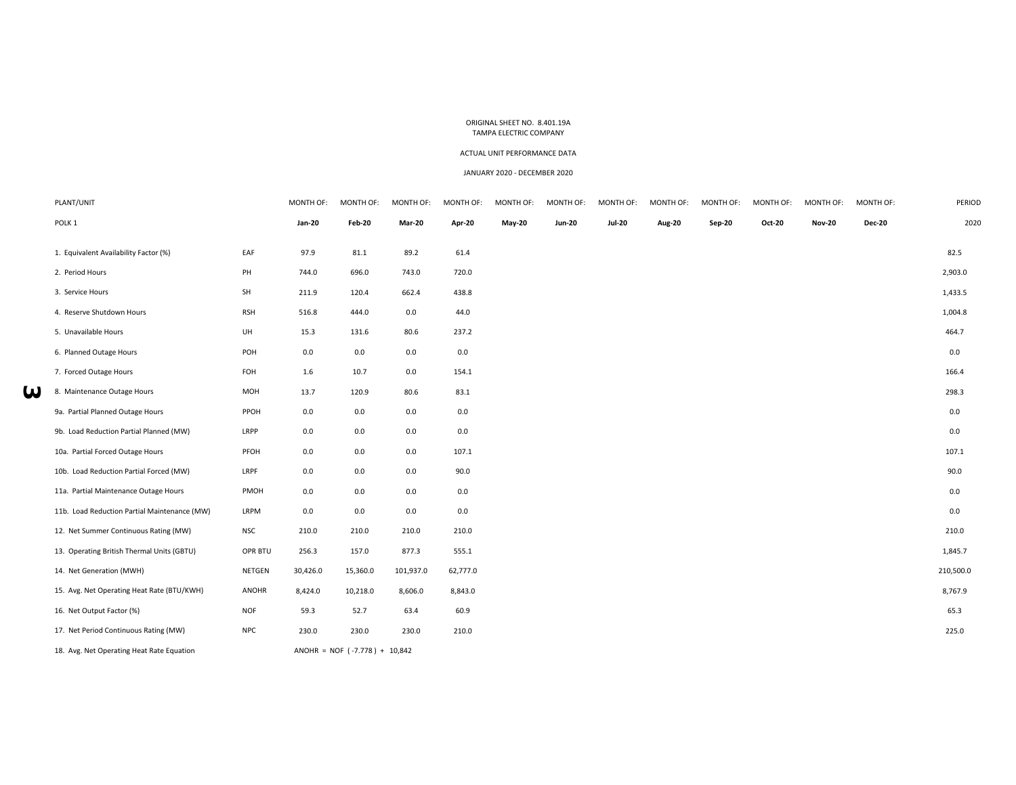### ACTUAL UNIT PERFORMANCE DATA

#### JANUARY 2020 ‐ DECEMBER 2020

| PLANT/UNIT                                   |            | MONTH OF:     | MONTH OF:                       | MONTH OF:     | MONTH OF: | MONTH OF:     | MONTH OF:     | MONTH OF:     | MONTH OF:     | MONTH OF:     | MONTH OF:     | MONTH OF:     | MONTH OF:     | PERIOD    |
|----------------------------------------------|------------|---------------|---------------------------------|---------------|-----------|---------------|---------------|---------------|---------------|---------------|---------------|---------------|---------------|-----------|
| POLK <sub>1</sub>                            |            | <b>Jan-20</b> | Feb-20                          | <b>Mar-20</b> | Apr-20    | <b>May-20</b> | <b>Jun-20</b> | <b>Jul-20</b> | <b>Aug-20</b> | <b>Sep-20</b> | <b>Oct-20</b> | <b>Nov-20</b> | <b>Dec-20</b> | 2020      |
| 1. Equivalent Availability Factor (%)        | EAF        | 97.9          | 81.1                            | 89.2          | 61.4      |               |               |               |               |               |               |               |               | 82.5      |
| 2. Period Hours                              | PH         | 744.0         | 696.0                           | 743.0         | 720.0     |               |               |               |               |               |               |               |               | 2,903.0   |
| 3. Service Hours                             | SH         | 211.9         | 120.4                           | 662.4         | 438.8     |               |               |               |               |               |               |               |               | 1,433.5   |
| 4. Reserve Shutdown Hours                    | <b>RSH</b> | 516.8         | 444.0                           | 0.0           | 44.0      |               |               |               |               |               |               |               |               | 1,004.8   |
| 5. Unavailable Hours                         | UH         | 15.3          | 131.6                           | 80.6          | 237.2     |               |               |               |               |               |               |               |               | 464.7     |
| 6. Planned Outage Hours                      | POH        | 0.0           | 0.0                             | 0.0           | 0.0       |               |               |               |               |               |               |               |               | 0.0       |
| 7. Forced Outage Hours                       | FOH        | 1.6           | 10.7                            | 0.0           | 154.1     |               |               |               |               |               |               |               |               | 166.4     |
| 8. Maintenance Outage Hours                  | MOH        | 13.7          | 120.9                           | 80.6          | 83.1      |               |               |               |               |               |               |               |               | 298.3     |
| 9a. Partial Planned Outage Hours             | PPOH       | 0.0           | 0.0                             | 0.0           | 0.0       |               |               |               |               |               |               |               |               | 0.0       |
| 9b. Load Reduction Partial Planned (MW)      | LRPP       | 0.0           | 0.0                             | 0.0           | 0.0       |               |               |               |               |               |               |               |               | 0.0       |
| 10a. Partial Forced Outage Hours             | PFOH       | 0.0           | 0.0                             | 0.0           | 107.1     |               |               |               |               |               |               |               |               | 107.1     |
| 10b. Load Reduction Partial Forced (MW)      | LRPF       | 0.0           | 0.0                             | 0.0           | 90.0      |               |               |               |               |               |               |               |               | 90.0      |
| 11a. Partial Maintenance Outage Hours        | PMOH       | 0.0           | 0.0                             | 0.0           | 0.0       |               |               |               |               |               |               |               |               | 0.0       |
| 11b. Load Reduction Partial Maintenance (MW) | LRPM       | 0.0           | 0.0                             | 0.0           | 0.0       |               |               |               |               |               |               |               |               | 0.0       |
| 12. Net Summer Continuous Rating (MW)        | <b>NSC</b> | 210.0         | 210.0                           | 210.0         | 210.0     |               |               |               |               |               |               |               |               | 210.0     |
| 13. Operating British Thermal Units (GBTU)   | OPR BTU    | 256.3         | 157.0                           | 877.3         | 555.1     |               |               |               |               |               |               |               |               | 1,845.7   |
| 14. Net Generation (MWH)                     | NETGEN     | 30,426.0      | 15,360.0                        | 101,937.0     | 62,777.0  |               |               |               |               |               |               |               |               | 210,500.0 |
| 15. Avg. Net Operating Heat Rate (BTU/KWH)   | ANOHR      | 8,424.0       | 10,218.0                        | 8,606.0       | 8,843.0   |               |               |               |               |               |               |               |               | 8,767.9   |
| 16. Net Output Factor (%)                    | <b>NOF</b> | 59.3          | 52.7                            | 63.4          | 60.9      |               |               |               |               |               |               |               |               | 65.3      |
| 17. Net Period Continuous Rating (MW)        | <b>NPC</b> | 230.0         | 230.0                           | 230.0         | 210.0     |               |               |               |               |               |               |               |               | 225.0     |
| 18. Avg. Net Operating Heat Rate Equation    |            |               | ANOHR = NOF $(-7.778) + 10,842$ |               |           |               |               |               |               |               |               |               |               |           |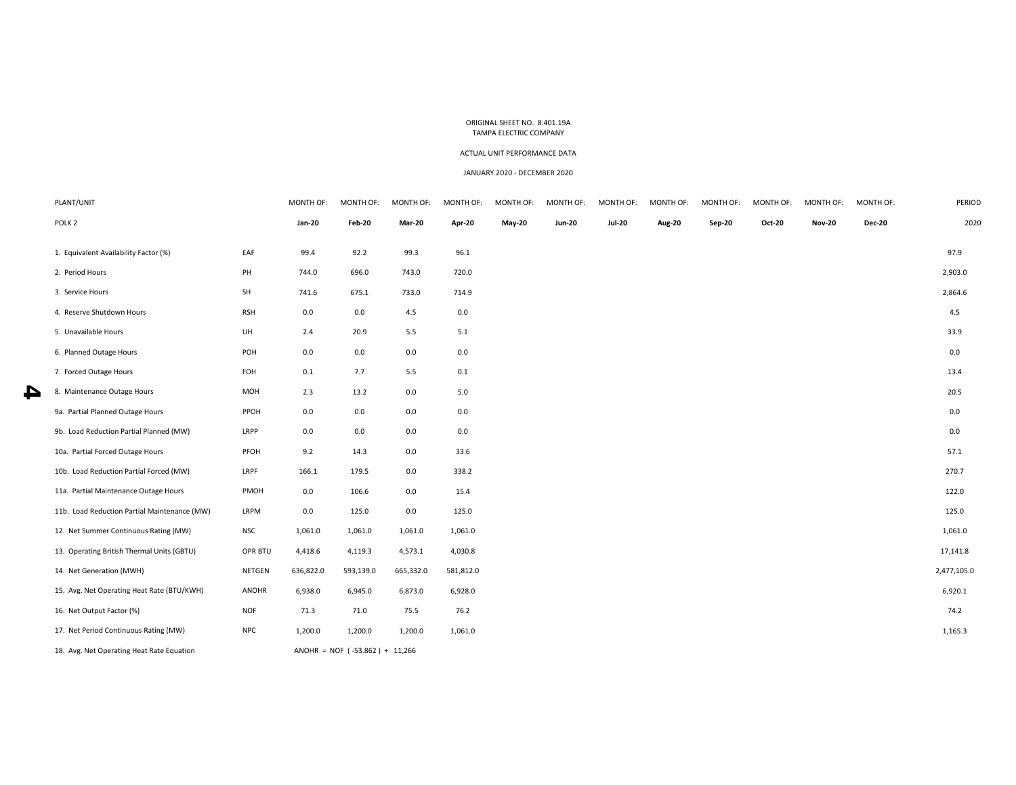### ACTUAL UNIT PERFORMANCE DATA

#### JANUARY 2020 ‐ DECEMBER 2020

| PLANT/UNIT                                   |            | MONTH OF:     | MONTH OF:                        | MONTH OF:     | MONTH OF: | MONTH OF:     | MONTH OF:     | MONTH OF:     | MONTH OF: | MONTH OF: | MONTH OF:     | MONTH OF:     | MONTH OF:     | PERIOD      |
|----------------------------------------------|------------|---------------|----------------------------------|---------------|-----------|---------------|---------------|---------------|-----------|-----------|---------------|---------------|---------------|-------------|
| POLK <sub>2</sub>                            |            | <b>Jan-20</b> | Feb-20                           | <b>Mar-20</b> | Apr-20    | <b>May-20</b> | <b>Jun-20</b> | <b>Jul-20</b> | Aug-20    | Sep-20    | <b>Oct-20</b> | <b>Nov-20</b> | <b>Dec-20</b> | 2020        |
| 1. Equivalent Availability Factor (%)        | EAF        | 99.4          | 92.2                             | 99.3          | 96.1      |               |               |               |           |           |               |               |               | 97.9        |
| 2. Period Hours                              | PH         | 744.0         | 696.0                            | 743.0         | 720.0     |               |               |               |           |           |               |               |               | 2,903.0     |
| 3. Service Hours                             | SH         | 741.6         | 675.1                            | 733.0         | 714.9     |               |               |               |           |           |               |               |               | 2,864.6     |
| 4. Reserve Shutdown Hours                    | <b>RSH</b> | 0.0           | 0.0                              | 4.5           | 0.0       |               |               |               |           |           |               |               |               | 4.5         |
| 5. Unavailable Hours                         | UH         | 2.4           | 20.9                             | 5.5           | 5.1       |               |               |               |           |           |               |               |               | 33.9        |
| 6. Planned Outage Hours                      | POH        | 0.0           | 0.0                              | 0.0           | 0.0       |               |               |               |           |           |               |               |               | 0.0         |
| 7. Forced Outage Hours                       | FOH        | 0.1           | 7.7                              | 5.5           | 0.1       |               |               |               |           |           |               |               |               | 13.4        |
| 8. Maintenance Outage Hours                  | MOH        | 2.3           | 13.2                             | 0.0           | $5.0\,$   |               |               |               |           |           |               |               |               | 20.5        |
| 9a. Partial Planned Outage Hours             | PPOH       | 0.0           | 0.0                              | 0.0           | 0.0       |               |               |               |           |           |               |               |               | 0.0         |
| 9b. Load Reduction Partial Planned (MW)      | LRPP       | 0.0           | 0.0                              | 0.0           | 0.0       |               |               |               |           |           |               |               |               | 0.0         |
| 10a. Partial Forced Outage Hours             | PFOH       | 9.2           | 14.3                             | 0.0           | 33.6      |               |               |               |           |           |               |               |               | 57.1        |
| 10b. Load Reduction Partial Forced (MW)      | LRPF       | 166.1         | 179.5                            | 0.0           | 338.2     |               |               |               |           |           |               |               |               | 270.7       |
| 11a. Partial Maintenance Outage Hours        | PMOH       | 0.0           | 106.6                            | 0.0           | 15.4      |               |               |               |           |           |               |               |               | 122.0       |
| 11b. Load Reduction Partial Maintenance (MW) | LRPM       | 0.0           | 125.0                            | 0.0           | 125.0     |               |               |               |           |           |               |               |               | 125.0       |
| 12. Net Summer Continuous Rating (MW)        | <b>NSC</b> | 1,061.0       | 1,061.0                          | 1,061.0       | 1,061.0   |               |               |               |           |           |               |               |               | 1,061.0     |
| 13. Operating British Thermal Units (GBTU)   | OPR BTU    | 4,418.6       | 4,119.3                          | 4,573.1       | 4,030.8   |               |               |               |           |           |               |               |               | 17,141.8    |
| 14. Net Generation (MWH)                     | NETGEN     | 636,822.0     | 593,139.0                        | 665,332.0     | 581,812.0 |               |               |               |           |           |               |               |               | 2,477,105.0 |
| 15. Avg. Net Operating Heat Rate (BTU/KWH)   | ANOHR      | 6,938.0       | 6,945.0                          | 6,873.0       | 6,928.0   |               |               |               |           |           |               |               |               | 6,920.1     |
| 16. Net Output Factor (%)                    | <b>NOF</b> | 71.3          | 71.0                             | 75.5          | 76.2      |               |               |               |           |           |               |               |               | 74.2        |
| 17. Net Period Continuous Rating (MW)        | <b>NPC</b> | 1,200.0       | 1,200.0                          | 1,200.0       | 1,061.0   |               |               |               |           |           |               |               |               | 1,165.3     |
| 18. Avg. Net Operating Heat Rate Equation    |            |               | $ANDHR = NOF (-53.862) + 11,266$ |               |           |               |               |               |           |           |               |               |               |             |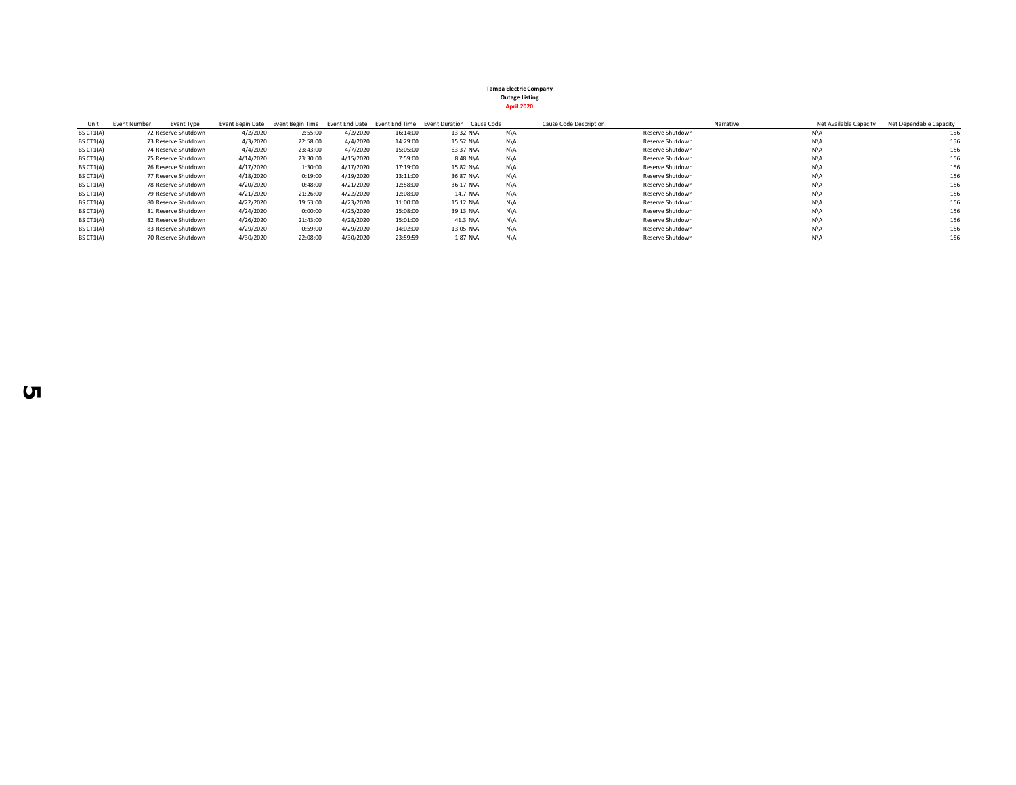| Unit      | Event Number | Event Type          | Event Begin Date | Event Begin Time |           | Event End Date Event End Time | Event Duration Cause Code |     | Cause Code Description | Net Available Capacity<br>Narrative | Net Dependable Capacity |
|-----------|--------------|---------------------|------------------|------------------|-----------|-------------------------------|---------------------------|-----|------------------------|-------------------------------------|-------------------------|
| BS CT1(A) |              | 72 Reserve Shutdown | 4/2/2020         | 2:55:00          | 4/2/2020  | 16:14:00                      | 13.32 N\A                 | N\A | Reserve Shutdown       | N\A                                 | 156                     |
| BS CT1(A) |              | 73 Reserve Shutdown | 4/3/2020         | 22:58:00         | 4/4/2020  | 14:29:00                      | 15.52 N\A                 | N\A | Reserve Shutdown       | N\A                                 | 156                     |
| BS CT1(A) |              | 74 Reserve Shutdown | 4/4/2020         | 23:43:00         | 4/7/2020  | 15:05:00                      | 63.37 N\A                 | N\A | Reserve Shutdown       | N\A                                 | 156                     |
| BS CT1(A) |              | 75 Reserve Shutdown | 4/14/2020        | 23:30:00         | 4/15/2020 | 7:59:00                       | 8.48 N\A                  | N\A | Reserve Shutdown       | N\A                                 | 156                     |
| BS CT1(A) |              | 76 Reserve Shutdown | 4/17/2020        | 1:30:00          | 4/17/2020 | 17:19:00                      | 15.82 N\A                 | N\A | Reserve Shutdown       | N\A                                 | 156                     |
| BS CT1(A) |              | 77 Reserve Shutdown | 4/18/2020        | 0:19:00          | 4/19/2020 | 13:11:00                      | 36.87 N\A                 | N\A | Reserve Shutdown       | N\A                                 | 156                     |
| BS CT1(A) |              | 78 Reserve Shutdown | 4/20/2020        | 0:48:00          | 4/21/2020 | 12:58:00                      | 36.17 N\A                 | N\A | Reserve Shutdown       | N\A                                 | 156                     |
| BS CT1(A) |              | 79 Reserve Shutdown | 4/21/2020        | 21:26:00         | 4/22/2020 | 12:08:00                      | 14.7 N\A                  | N\A | Reserve Shutdown       | N\A                                 | 156                     |
| BS CT1(A) |              | 80 Reserve Shutdown | 4/22/2020        | 19:53:00         | 4/23/2020 | 11:00:00                      | 15.12 N\A                 | N\A | Reserve Shutdown       | N\A                                 | 156                     |
| BS CT1(A) |              | 81 Reserve Shutdown | 4/24/2020        | 0:00:00          | 4/25/2020 | 15:08:00                      | 39.13 N\A                 | N\A | Reserve Shutdown       | N\A                                 | 156                     |
| BS CT1(A) |              | 82 Reserve Shutdown | 4/26/2020        | 21:43:00         | 4/28/2020 | 15:01:00                      | 41.3 N\A                  | N\A | Reserve Shutdown       | N\A                                 | 156                     |
| BS CT1(A) |              | 83 Reserve Shutdown | 4/29/2020        | 0:59:00          | 4/29/2020 | 14:02:00                      | 13.05 N\A                 | N\A | Reserve Shutdown       | N\A                                 | 156                     |
| BS CT1(A) |              | 70 Reserve Shutdown | 4/30/2020        | 22:08:00         | 4/30/2020 | 23:59:59                      | 1.87 N\A                  | N\A | Reserve Shutdown       | N\A                                 | 156                     |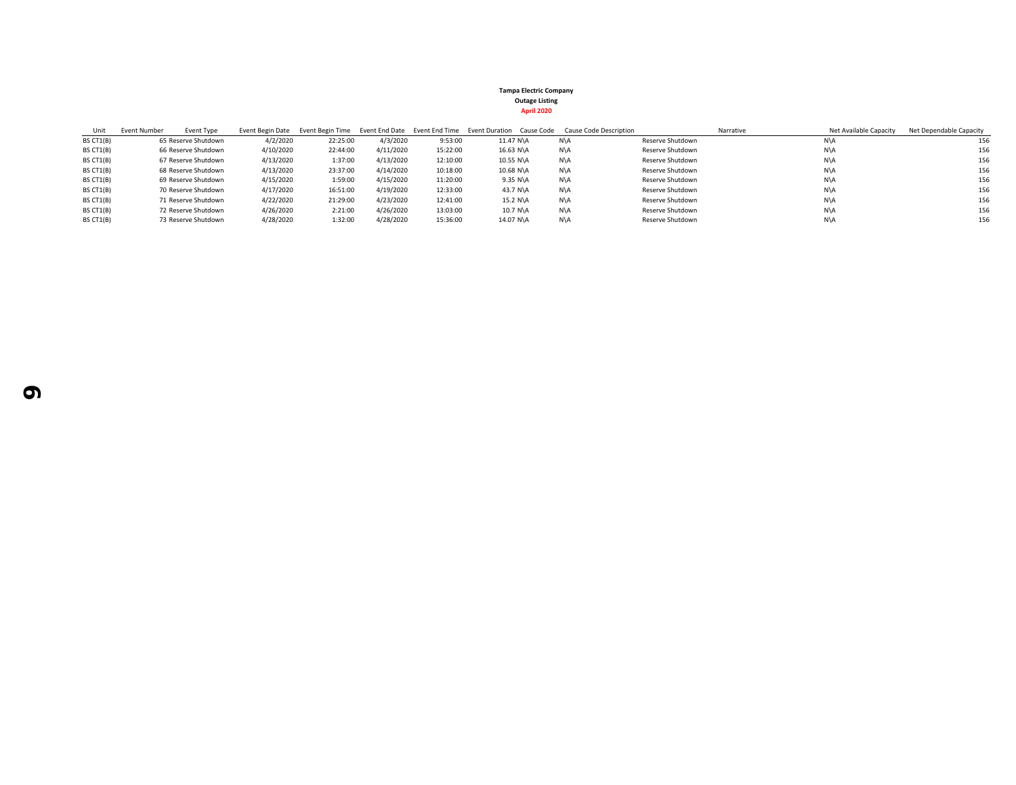| Unit      | Event Type<br>Event Number |           |          |           |          | Event Begin Date Event Begin Time Event End Date Event End Time Event Duration Cause Code | <b>Cause Code Description</b> |                  | Net Available Capacity<br>Narrative | Net Dependable Capacity |
|-----------|----------------------------|-----------|----------|-----------|----------|-------------------------------------------------------------------------------------------|-------------------------------|------------------|-------------------------------------|-------------------------|
| BS CT1(B) | 65 Reserve Shutdown        | 4/2/2020  | 22:25:00 | 4/3/2020  | 9:53:00  | 11.47 N\A                                                                                 | N\A                           | Reserve Shutdown | N\A                                 | 156                     |
| BS CT1(B) | 66 Reserve Shutdown        | 4/10/2020 | 22:44:00 | 4/11/2020 | 15:22:00 | 16.63 N\A                                                                                 | N\A                           | Reserve Shutdown | N\A                                 | 156                     |
| BS CT1(B) | 67 Reserve Shutdown        | 4/13/2020 | 1:37:00  | 4/13/2020 | 12:10:00 | 10.55 N\A                                                                                 | N\A                           | Reserve Shutdown | N\A                                 | 156                     |
| BS CT1(B) | 68 Reserve Shutdown        | 4/13/2020 | 23:37:00 | 4/14/2020 | 10:18:00 | 10.68 N\A                                                                                 | N\A                           | Reserve Shutdown | N\A                                 | 156                     |
| BS CT1(B) | 69 Reserve Shutdown        | 4/15/2020 | 1:59:00  | 4/15/2020 | 11:20:00 | 9.35 N\A                                                                                  | N\A                           | Reserve Shutdown | N\A                                 | 156                     |
| BS CT1(B) | 70 Reserve Shutdown        | 4/17/2020 | 16:51:00 | 4/19/2020 | 12:33:00 | 43.7 N\A                                                                                  | N\A                           | Reserve Shutdown | N\A                                 | 156                     |
| BS CT1(B) | 71 Reserve Shutdown        | 4/22/2020 | 21:29:00 | 4/23/2020 | 12:41:00 | 15.2 N\A                                                                                  | N\A                           | Reserve Shutdown | N\A                                 | 156                     |
| BS CT1(B) | 72 Reserve Shutdown        | 4/26/2020 | 2:21:00  | 4/26/2020 | 13:03:00 | 10.7 N\A                                                                                  | N\A                           | Reserve Shutdown | N\A                                 | 156                     |
| BS CT1(B) | 73 Reserve Shutdown        | 4/28/2020 | 1:32:00  | 4/28/2020 | 15:36:00 | 14.07 N\A                                                                                 | N\A                           | Reserve Shutdown | N\A                                 | 156                     |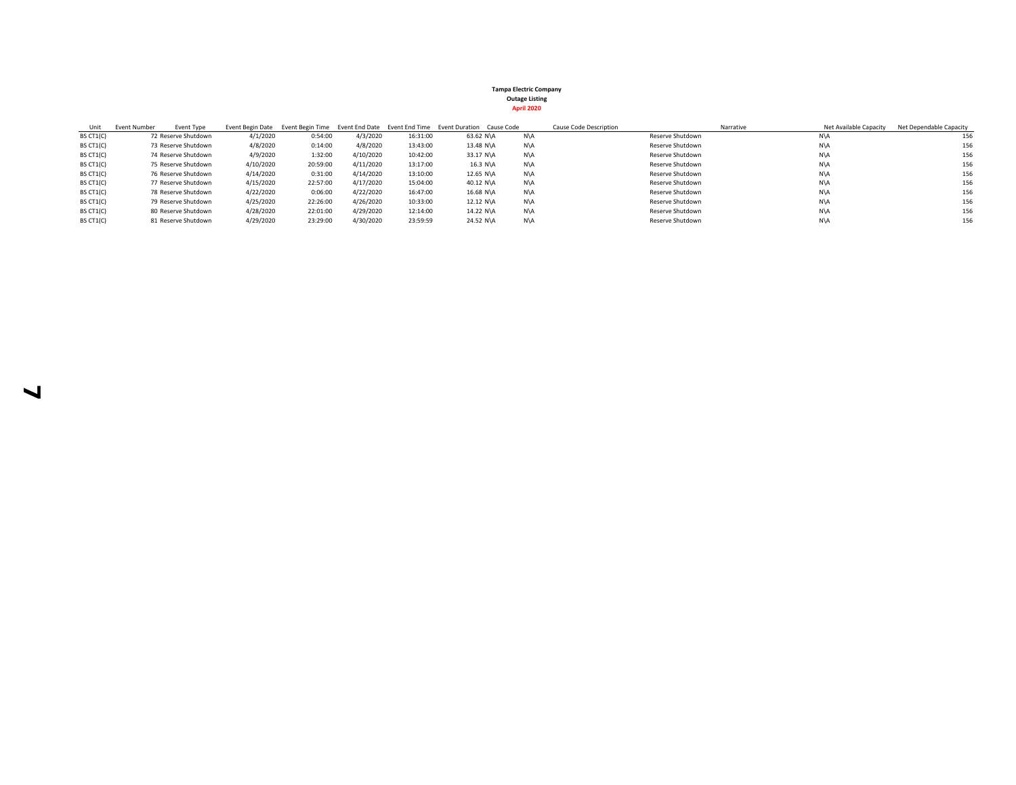| Unit      | Event Number | Event Type          |           |          |           |          | Event Begin Date Event Begin Time Event End Date Event End Time Event Duration Cause Code |     | Cause Code Description | Net Available Capacity<br>Narrative | Net Dependable Capacity |
|-----------|--------------|---------------------|-----------|----------|-----------|----------|-------------------------------------------------------------------------------------------|-----|------------------------|-------------------------------------|-------------------------|
| BS CT1(C) |              | 72 Reserve Shutdown | 4/1/2020  | 0:54:00  | 4/3/2020  | 16:31:00 | 63.62 N\A                                                                                 | N\A | Reserve Shutdown       | N\A                                 | 156                     |
| BS CT1(C) |              | 73 Reserve Shutdown | 4/8/2020  | 0:14:00  | 4/8/2020  | 13:43:00 | 13.48 N\A                                                                                 | N\A | Reserve Shutdown       | N\A                                 | 156                     |
| BS CT1(C) |              | 74 Reserve Shutdown | 4/9/2020  | 1:32:00  | 4/10/2020 | 10:42:00 | 33.17 N\A                                                                                 | N\A | Reserve Shutdown       | N\A                                 | 156                     |
| BS CT1(C) |              | 75 Reserve Shutdown | 4/10/2020 | 20:59:00 | 4/11/2020 | 13:17:00 | 16.3 N\A                                                                                  | N\A | Reserve Shutdown       | N\A                                 | 156                     |
| BS CT1(C) |              | 76 Reserve Shutdown | 4/14/2020 | 0:31:00  | 4/14/2020 | 13:10:00 | 12.65 N\A                                                                                 | N\A | Reserve Shutdown       | N\A                                 | 156                     |
| BS CT1(C) |              | 77 Reserve Shutdown | 4/15/2020 | 22:57:00 | 4/17/2020 | 15:04:00 | 40.12 N\A                                                                                 | N\A | Reserve Shutdown       | N\A                                 | 156                     |
| BS CT1(C) |              | 78 Reserve Shutdown | 4/22/2020 | 0:06:00  | 4/22/2020 | 16:47:00 | 16.68 N\A                                                                                 | N\A | Reserve Shutdown       | N\A                                 | 156                     |
| BS CT1(C) |              | 79 Reserve Shutdown | 4/25/2020 | 22:26:00 | 4/26/2020 | 10:33:00 | 12.12 N\A                                                                                 | N\A | Reserve Shutdown       | N\A                                 | 156                     |
| BS CT1(C) |              | 80 Reserve Shutdown | 4/28/2020 | 22:01:00 | 4/29/2020 | 12:14:00 | 14.22 N\A                                                                                 | N\A | Reserve Shutdown       | N\A                                 | 156                     |
| BS CT1(C) |              | 81 Reserve Shutdown | 4/29/2020 | 23:29:00 | 4/30/2020 | 23:59:59 | 24.52 N\A                                                                                 | N\A | Reserve Shutdown       | N\A                                 | 156                     |

 $\blacktriangleleft$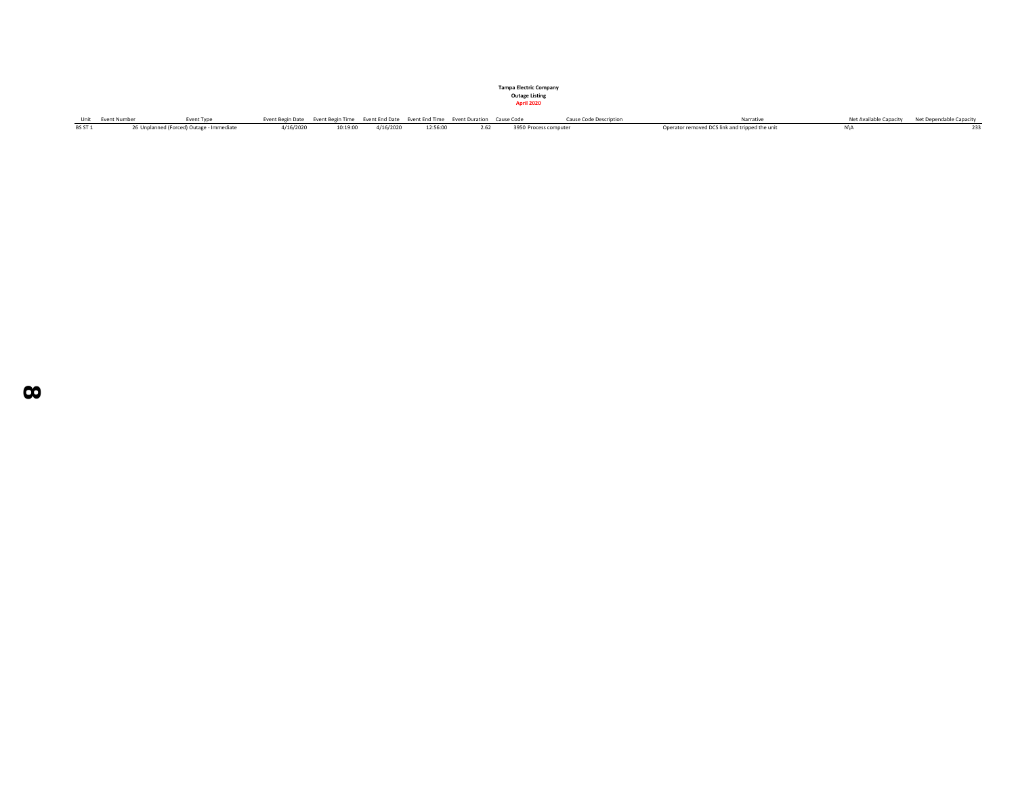| Unit Event Number | <b>Event Type</b>                        | Event Begin Date Event Begin Time Event End Date Event End Time Event Duration Cause Code |                              |          |  | <b>Cause Code Description</b> | Narrative                                      | Net Available Capacity Net Dependable Capacity |
|-------------------|------------------------------------------|-------------------------------------------------------------------------------------------|------------------------------|----------|--|-------------------------------|------------------------------------------------|------------------------------------------------|
|                   | 26 Unplanned (Forced) Outage - Immediate |                                                                                           | 4/16/2020 10:19:00 4/16/2020 | 12:56:00 |  | 2.62 3950 Process computer    | Operator removed DCS link and tripped the unit | 233                                            |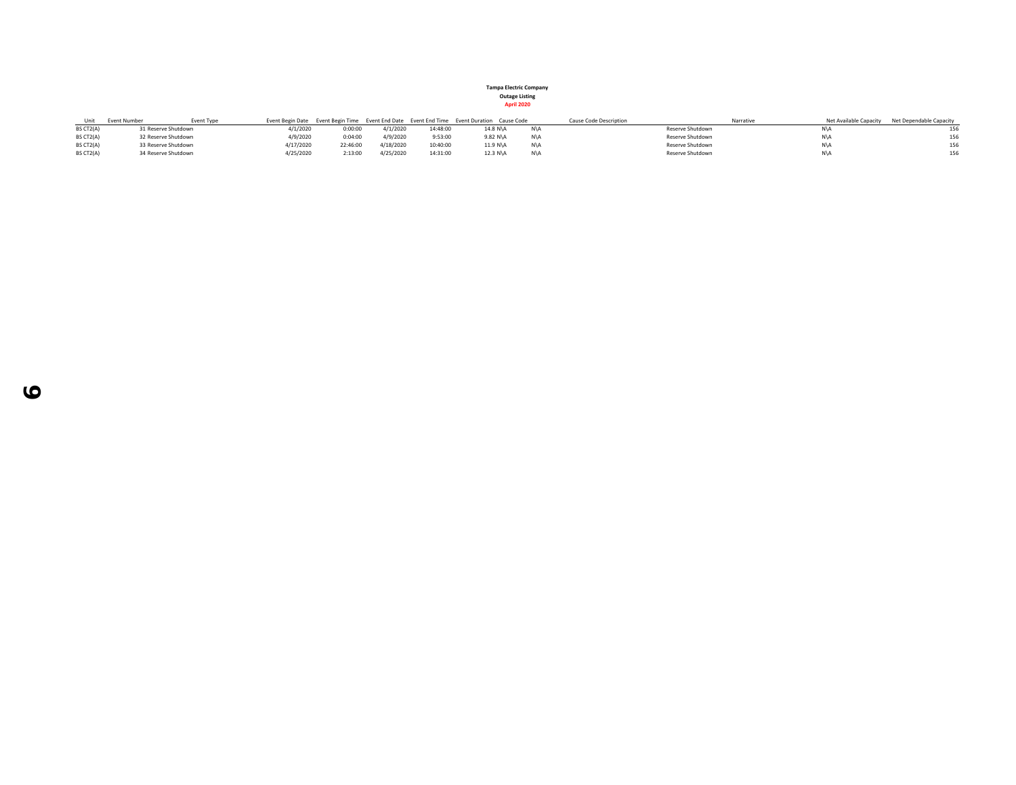| Unit      | <b>Event Number</b> | Event Type |           |          |           |          | Event Begin Date Event Begin Time Event End Date Event End Time Event Duration Cause Code | Cause Code Description | Narrative | Net Available Capacity Net Dependable Capacity |
|-----------|---------------------|------------|-----------|----------|-----------|----------|-------------------------------------------------------------------------------------------|------------------------|-----------|------------------------------------------------|
| BS CT2(A) | 31 Reserve Shutdown |            | 4/1/2020  | 0:00:00  | 4/1/2020  | 14:48:00 | 14.8 N\A                                                                                  | Reserve Shutdown       |           |                                                |
| BS CT2(A) | 32 Reserve Shutdown |            | 4/9/2020  | 0:04:00  | 4/9/2020  | 9:53:00  | 9.82 N\A                                                                                  | Reserve Shutdown       | N\A       | 156                                            |
| BS CT2(A) | 33 Reserve Shutdown |            | 4/17/2020 | 22:46:00 | 4/18/2020 | 10:40:00 | 11.9 N\A                                                                                  | Reserve Shutdown       | N\A       | 156                                            |
| BS CT2(A) | 34 Reserve Shutdown |            | 4/25/2020 | 2:13:00  | 4/25/2020 | 14:31:00 | 12.3 N\A                                                                                  | Reserve Shutdown       | N\A       | 156                                            |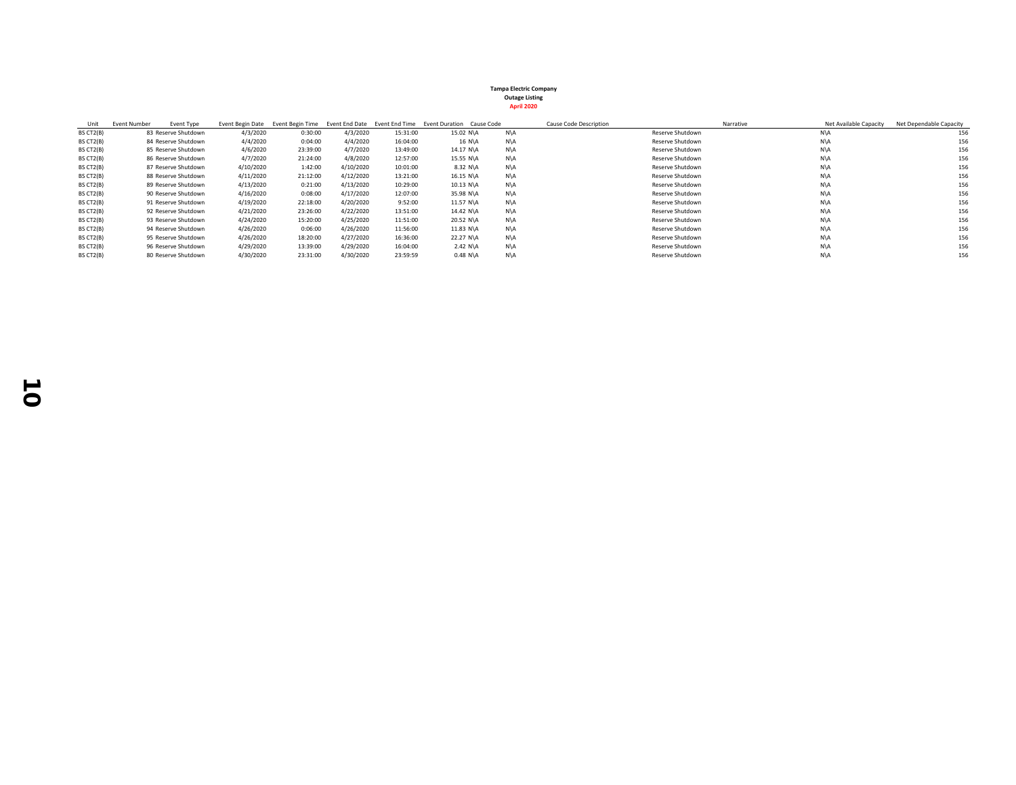| Unit      | <b>Event Number</b> | Event Type          | Event Begin Date | Event Begin Time |           |          | Event End Date Event End Time Event Duration Cause Code |     | Cause Code Description | Narrative      | Net Available Capacity | Net Dependable Capacity |
|-----------|---------------------|---------------------|------------------|------------------|-----------|----------|---------------------------------------------------------|-----|------------------------|----------------|------------------------|-------------------------|
| BS CT2(B) |                     | 83 Reserve Shutdown | 4/3/2020         | 0:30:00          | 4/3/2020  | 15:31:00 | 15.02 N\A                                               | N\A | Reserve Shutdown       | N\A            |                        | 156                     |
| BS CT2(B) |                     | 84 Reserve Shutdown | 4/4/2020         | 0:04:00          | 4/4/2020  | 16:04:00 | 16 N\A                                                  | N\A | Reserve Shutdown       | N\A            |                        | 156                     |
| BS CT2(B) |                     | 85 Reserve Shutdown | 4/6/2020         | 23:39:00         | 4/7/2020  | 13:49:00 | 14.17 N\A                                               | N\A | Reserve Shutdown       | N\A            |                        | 156                     |
| BS CT2(B) |                     | 86 Reserve Shutdown | 4/7/2020         | 21:24:00         | 4/8/2020  | 12:57:00 | 15.55 N\A                                               | N\A | Reserve Shutdown       | N\A            |                        | 156                     |
| BS CT2(B) |                     | 87 Reserve Shutdown | 4/10/2020        | 1:42:00          | 4/10/2020 | 10:01:00 | 8.32 N\A                                                | N\A | Reserve Shutdown       | N\A            |                        | 156                     |
| BS CT2(B) |                     | 88 Reserve Shutdown | 4/11/2020        | 21:12:00         | 4/12/2020 | 13:21:00 | 16.15 N\A                                               | N\A | Reserve Shutdown       | N\A            |                        | 156                     |
| BS CT2(B) |                     | 89 Reserve Shutdown | 4/13/2020        | 0:21:00          | 4/13/2020 | 10:29:00 | $10.13$ N\A                                             | N\A | Reserve Shutdown       | N\A            |                        | 156                     |
| BS CT2(B) |                     | 90 Reserve Shutdown | 4/16/2020        | 0:08:00          | 4/17/2020 | 12:07:00 | 35.98 N\A                                               | N\A | Reserve Shutdown       | N\A            |                        | 156                     |
| BS CT2(B) |                     | 91 Reserve Shutdown | 4/19/2020        | 22:18:00         | 4/20/2020 | 9:52:00  | 11.57 N\A                                               | N\A | Reserve Shutdown       | N\A            |                        | 156                     |
| BS CT2(B) |                     | 92 Reserve Shutdown | 4/21/2020        | 23:26:00         | 4/22/2020 | 13:51:00 | 14.42 N\A                                               | N\A | Reserve Shutdown       | N\A            |                        | 156                     |
| BS CT2(B) |                     | 93 Reserve Shutdown | 4/24/2020        | 15:20:00         | 4/25/2020 | 11:51:00 | 20.52 N\A                                               | N\A | Reserve Shutdown       | N\A            |                        | 156                     |
| BS CT2(B) |                     | 94 Reserve Shutdown | 4/26/2020        | 0:06:00          | 4/26/2020 | 11:56:00 | 11.83 N\A                                               | N\A | Reserve Shutdown       | $N\setminus A$ |                        | 156                     |
| BS CT2(B) |                     | 95 Reserve Shutdown | 4/26/2020        | 18:20:00         | 4/27/2020 | 16:36:00 | 22.27 N\A                                               | N\A | Reserve Shutdown       | N\A            |                        | 156                     |
| BS CT2(B) |                     | 96 Reserve Shutdown | 4/29/2020        | 13:39:00         | 4/29/2020 | 16:04:00 | $2.42 N\$ A                                             | N\A | Reserve Shutdown       | N\A            |                        | 156                     |
| BS CT2(B) |                     | 80 Reserve Shutdown | 4/30/2020        | 23:31:00         | 4/30/2020 | 23:59:59 | $0.48$ N\A                                              | N\A | Reserve Shutdown       | N\A            |                        | 156                     |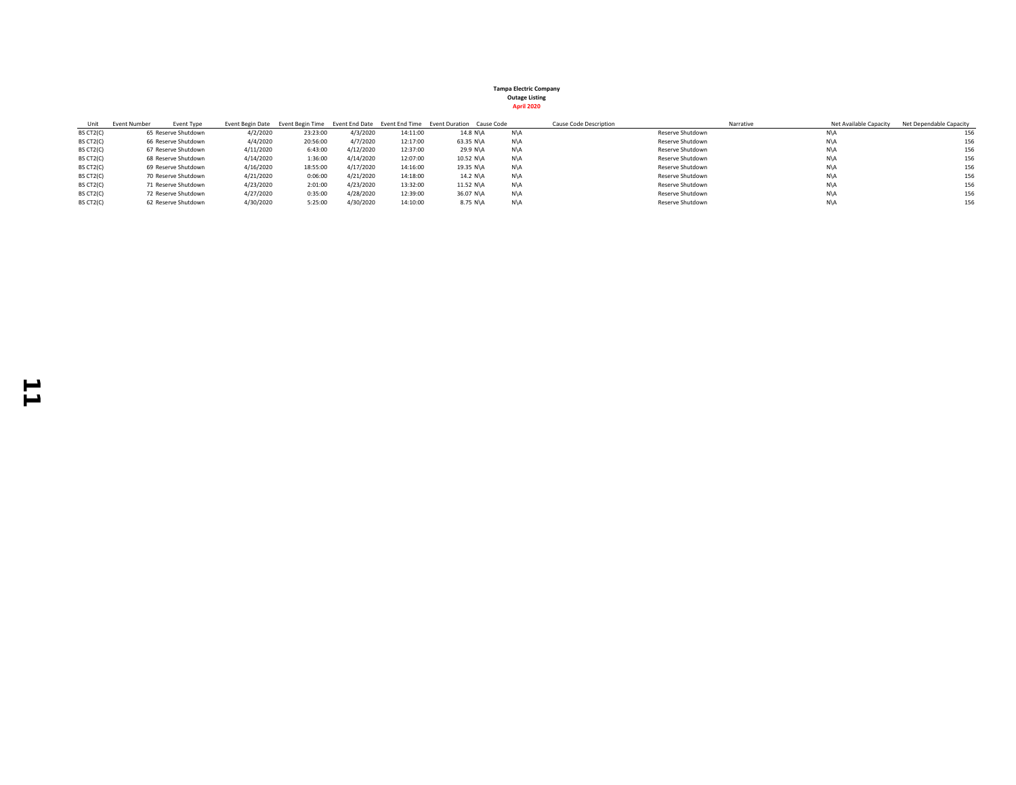| Unit      | Event Number | Event Type          |           |          |           |          | Event Begin Date Event Begin Time Event End Date Event End Time Event Duration Cause Code |     | Cause Code Description | Net Available Capacity<br>Narrative | Net Dependable Capacity |
|-----------|--------------|---------------------|-----------|----------|-----------|----------|-------------------------------------------------------------------------------------------|-----|------------------------|-------------------------------------|-------------------------|
| BS CT2(C) |              | 65 Reserve Shutdown | 4/2/2020  | 23:23:00 | 4/3/2020  | 14:11:00 | 14.8 N\A                                                                                  | N\A | Reserve Shutdown       | N\A                                 | 156                     |
| BS CT2(C) |              | 66 Reserve Shutdown | 4/4/2020  | 20:56:00 | 4/7/2020  | 12:17:00 | 63.35 N\A                                                                                 | N\A | Reserve Shutdown       | N\A                                 | 156                     |
| BS CT2(C) |              | 67 Reserve Shutdown | 4/11/2020 | 6:43:00  | 4/12/2020 | 12:37:00 | 29.9 N\A                                                                                  | N\A | Reserve Shutdown       | N\A                                 | 156                     |
| BS CT2(C) |              | 68 Reserve Shutdown | 4/14/2020 | 1:36:00  | 4/14/2020 | 12:07:00 | 10.52 N\A                                                                                 | N\A | Reserve Shutdown       | N\A                                 | 156                     |
| BS CT2(C) |              | 69 Reserve Shutdown | 4/16/2020 | 18:55:00 | 4/17/2020 | 14:16:00 | 19.35 N\A                                                                                 | N\A | Reserve Shutdown       | N\A                                 | 156                     |
| BS CT2(C) |              | 70 Reserve Shutdown | 4/21/2020 | 0:06:00  | 4/21/2020 | 14:18:00 | 14.2 N\A                                                                                  | N\A | Reserve Shutdown       | N\A                                 | 156                     |
| BS CT2(C) |              | 71 Reserve Shutdown | 4/23/2020 | 2:01:00  | 4/23/2020 | 13:32:00 | 11.52 N\A                                                                                 | N\A | Reserve Shutdown       | N\A                                 | 156                     |
| BS CT2(C) |              | 72 Reserve Shutdown | 4/27/2020 | 0:35:00  | 4/28/2020 | 12:39:00 | 36.07 N\A                                                                                 | N\A | Reserve Shutdown       | N\A                                 | 156                     |
| BS CT2(C) |              | 62 Reserve Shutdown | 4/30/2020 | 5:25:00  | 4/30/2020 | 14:10:00 | 8.75 N\A                                                                                  | N\A | Reserve Shutdown       | N\A                                 | 156                     |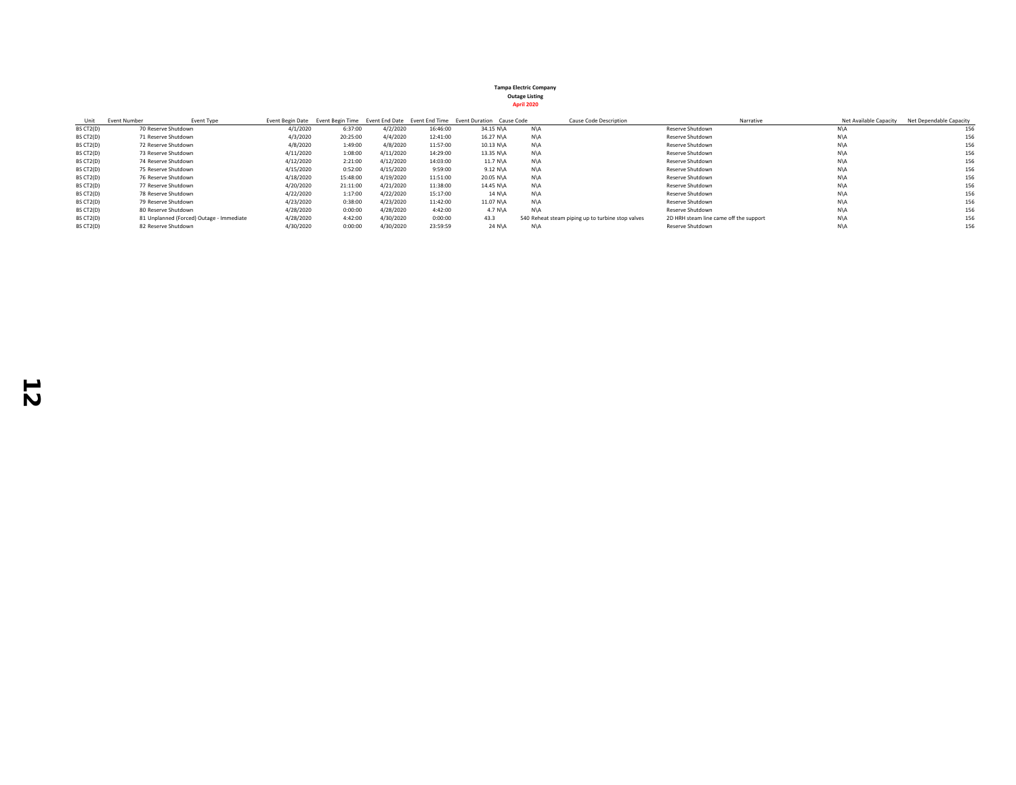| Unit      | <b>Event Number</b> | <b>Event Type</b>                        |           |          |           |          | Event Begin Date Event Begin Time Event End Date Event End Time Event Duration Cause Code |     | <b>Cause Code Description</b>                     | Narrative                              |     | Net Available Capacity | Net Dependable Capacity |
|-----------|---------------------|------------------------------------------|-----------|----------|-----------|----------|-------------------------------------------------------------------------------------------|-----|---------------------------------------------------|----------------------------------------|-----|------------------------|-------------------------|
| BS CT2(D) | 70 Reserve Shutdown |                                          | 4/1/2020  | 6:37:00  | 4/2/2020  | 16:46:00 | 34.15 N\A                                                                                 | N\A |                                                   | Reserve Shutdown                       | N\A |                        |                         |
| BS CT2(D) | 71 Reserve Shutdown |                                          | 4/3/2020  | 20:25:00 | 4/4/2020  | 12:41:00 | 16.27 N\A                                                                                 | N\A |                                                   | Reserve Shutdown                       | N\A |                        | 156                     |
| BS CT2(D) | 72 Reserve Shutdown |                                          | 4/8/2020  | 1:49:00  | 4/8/2020  | 11:57:00 | 10.13 N\A                                                                                 | N\A |                                                   | Reserve Shutdown                       | N\A |                        | 156                     |
| BS CT2(D) | 73 Reserve Shutdown |                                          | 4/11/2020 | 1:08:00  | 4/11/2020 | 14:29:00 | 13.35 N\A                                                                                 | N\A |                                                   | Reserve Shutdown                       | N\A |                        | 156                     |
| BS CT2(D) | 74 Reserve Shutdown |                                          | 4/12/2020 | 2:21:00  | 4/12/2020 | 14:03:00 | 11.7 N\A                                                                                  | N\A |                                                   | Reserve Shutdown                       | N\A |                        | 156                     |
| BS CT2(D) | 75 Reserve Shutdown |                                          | 4/15/2020 | 0:52:00  | 4/15/2020 | 9:59:00  | 9.12 N\A                                                                                  | N\A |                                                   | Reserve Shutdown                       | N\A |                        | 156                     |
| BS CT2(D) | 76 Reserve Shutdown |                                          | 4/18/2020 | 15:48:00 | 4/19/2020 | 11:51:00 | 20.05 N\A                                                                                 | N\A |                                                   | Reserve Shutdown                       | N\A |                        | 156                     |
| BS CT2(D) | 77 Reserve Shutdown |                                          | 4/20/2020 | 21:11:00 | 4/21/2020 | 11:38:00 | 14.45 N\A                                                                                 | N\A |                                                   | Reserve Shutdown                       | N\A |                        | 156                     |
| BS CT2(D) | 78 Reserve Shutdown |                                          | 4/22/2020 | 1:17:00  | 4/22/2020 | 15:17:00 | 14 N\A                                                                                    | N\A |                                                   | Reserve Shutdown                       | N\A |                        | 156                     |
| BS CT2(D) | 79 Reserve Shutdown |                                          | 4/23/2020 | 0:38:00  | 4/23/2020 | 11:42:00 | 11.07 N\A                                                                                 | N\A |                                                   | Reserve Shutdown                       | N\A |                        | 156                     |
| BS CT2(D) | 80 Reserve Shutdown |                                          | 4/28/2020 | 0:00:00  | 4/28/2020 | 4:42:00  | $4.7$ N $\lambda$                                                                         | N\A |                                                   | Reserve Shutdown                       | N\A |                        | 156                     |
| BS CT2(D) |                     | 81 Unplanned (Forced) Outage - Immediate | 4/28/2020 | 4:42:00  | 4/30/2020 | 0:00:00  | 43.3                                                                                      |     | 540 Reheat steam piping up to turbine stop valves | 2D HRH steam line came off the support | N\A |                        | 156                     |
| BS CT2(D) | 82 Reserve Shutdown |                                          | 4/30/2020 | 0:00:00  | 4/30/2020 | 23:59:59 | 24 N\A                                                                                    | N\A |                                                   | Reserve Shutdown                       | N\A |                        | 156                     |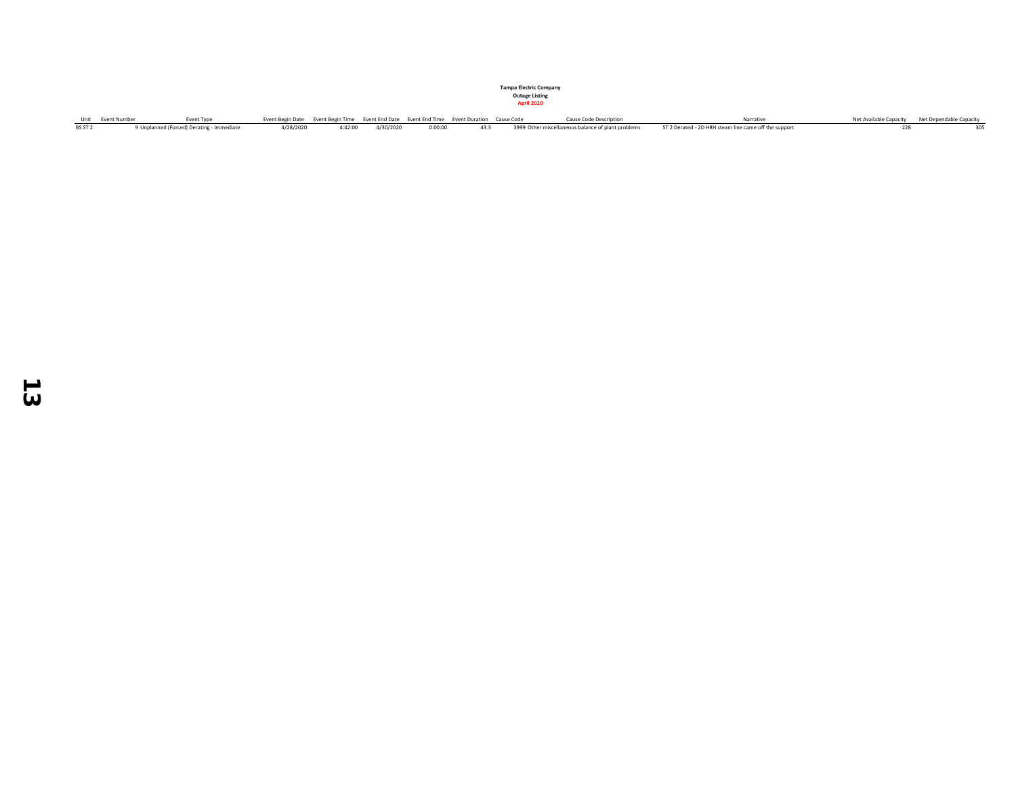|         | Unit Event Number | Event Type                                | Event Begin Date Event Begin Time Event End Date Event End Time Event Duration Cause Code |                             |         |  | Cause Code Description | Narrative                                                                                                     | Net Available Capacity Net Dependable Capacity |
|---------|-------------------|-------------------------------------------|-------------------------------------------------------------------------------------------|-----------------------------|---------|--|------------------------|---------------------------------------------------------------------------------------------------------------|------------------------------------------------|
| BS ST 2 |                   | 9 Unplanned (Forced) Derating - Immediate |                                                                                           | 4/28/2020 4:42:00 4/30/2020 | 0:00:00 |  |                        | 43.3 3999 Other miscellaneous balance of plant problems ST 2 Derated - 2D HRH steam line came off the support |                                                |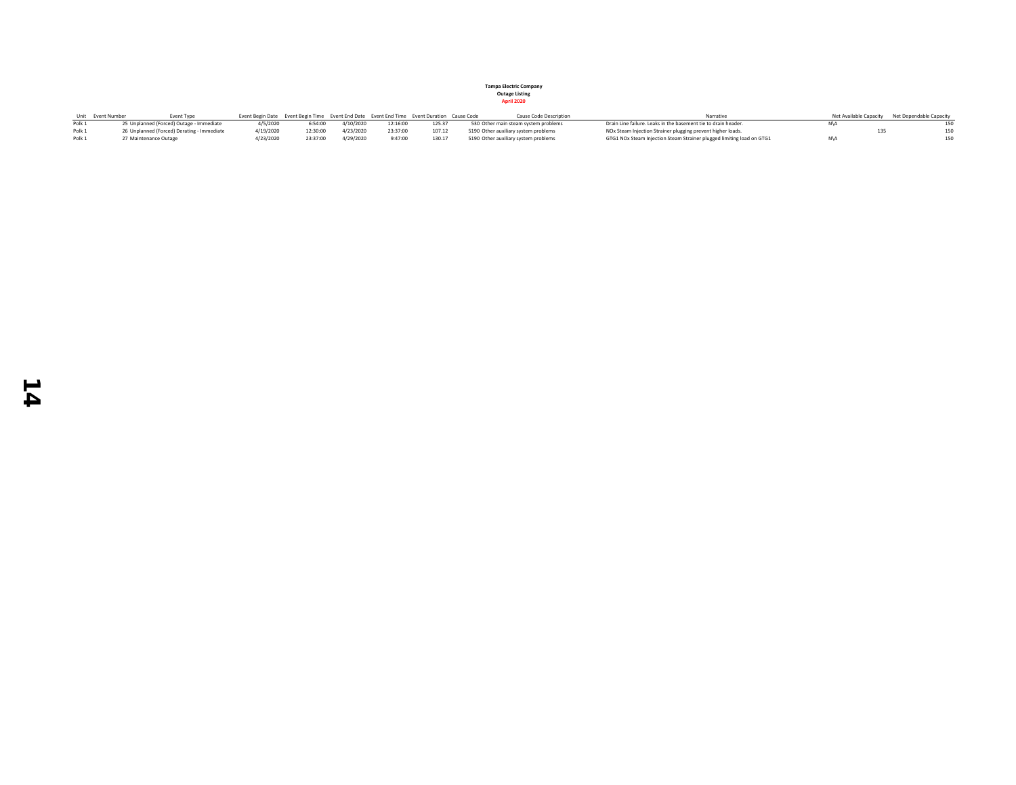|                   | Unit Event Number<br><b>Event Type</b>     | Event Begin Date Event Begin Time Event End Date Event End Time Event Duration Cause Code |          |           |          |        | Cause Code Description               | Narrative                                                             | Net Available Capacity Net Dependable Capacity |
|-------------------|--------------------------------------------|-------------------------------------------------------------------------------------------|----------|-----------|----------|--------|--------------------------------------|-----------------------------------------------------------------------|------------------------------------------------|
| Polk 1            | 25 Unplanned (Forced) Outage - Immediate   | 4/5/2020                                                                                  | 6:54:00  | 4/10/2020 | 12:16:00 | 125.37 | 530 Other main steam system problems | Drain Line failure. Leaks in the basement tie to drain header.        |                                                |
| Polk 1            | 26 Unplanned (Forced) Derating - Immediate | 4/19/2020                                                                                 | 12:30:00 | 4/23/2020 | 23:37:00 | 107.12 | 5190 Other auxiliary system problems | NOx Steam Injection Strainer plugging prevent higher loads.           | 150                                            |
| Polk <sub>1</sub> | 27 Maintenance Outage                      | 1/23/2020                                                                                 | 23:37:00 | 4/29/2020 | 9:47:00  | 130.17 | 5190 Other auxiliary system problems | GTG1 NOx Steam Injection Steam Strainer plugged limiting load on GTG1 | 150                                            |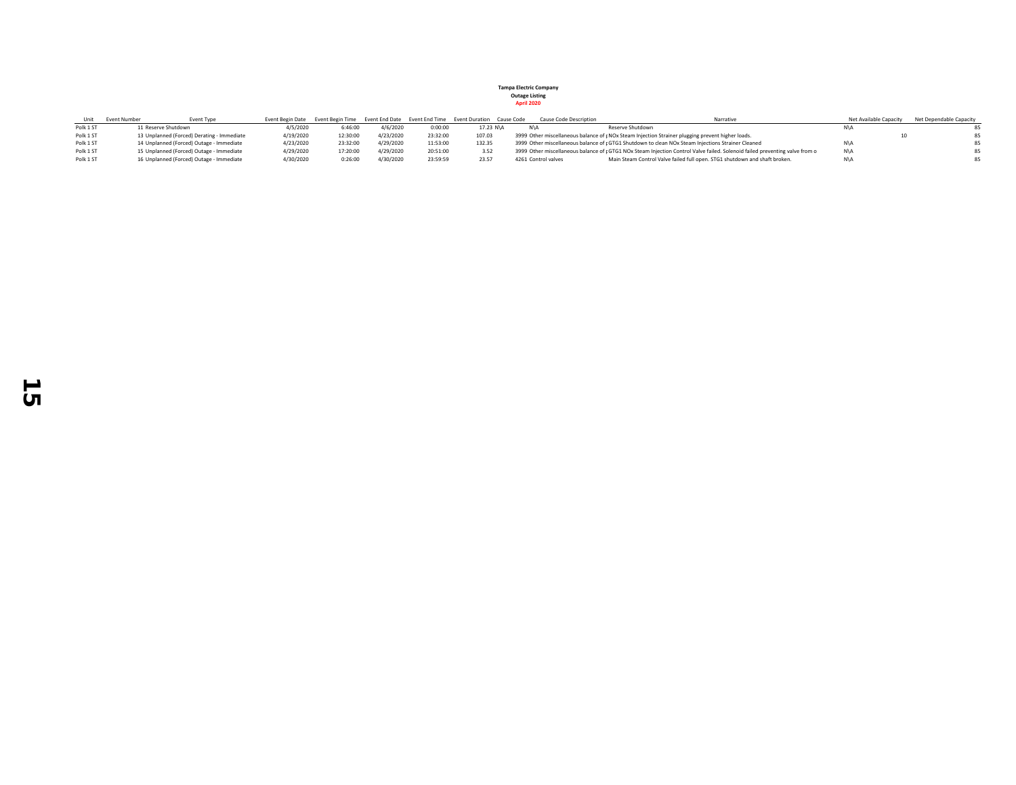| Unit      | Event Number<br><b>Event Type</b>          |           |          |           |          | Event Begin Date Event Begin Time Event End Date Event End Time Event Duration Cause Code |                     | Cause Code Description | Narrative                                                                                                                   | Net Available Capacity | Net Dependable Capacity |
|-----------|--------------------------------------------|-----------|----------|-----------|----------|-------------------------------------------------------------------------------------------|---------------------|------------------------|-----------------------------------------------------------------------------------------------------------------------------|------------------------|-------------------------|
| Polk 1 ST | 11 Reserve Shutdown                        | 4/5/2020  | 6:46:00  | 4/6/2020  | 0:00:00  | 17.23 N\A                                                                                 | N\A                 |                        | Reserve Shutdown                                                                                                            |                        |                         |
| Polk 1 ST | 13 Unplanned (Forced) Derating - Immediate | 4/19/2020 | 12:30:00 | 4/23/2020 | 23:32:00 | 107.03                                                                                    |                     |                        | 3999 Other miscellaneous balance of pNOx Steam Injection Strainer plugging prevent higher loads.                            |                        |                         |
| Polk 1 ST | 14 Unplanned (Forced) Outage - Immediate   | 4/23/2020 | 23:32:00 | 4/29/2020 | 11:53:00 | 132.35                                                                                    |                     |                        | 3999 Other miscellaneous balance of pGTG1 Shutdown to clean NOx Steam Injections Strainer Cleaned                           |                        |                         |
| Polk 1 ST | 15 Unplanned (Forced) Outage - Immediate   | 4/29/2020 | 17:20:00 | 4/29/2020 | 20:51:00 | 3.52                                                                                      |                     |                        | 3999 Other miscellaneous balance of pGTG1 NOx Steam Injection Control Valve failed. Solenoid failed preventing valve from o | N\A                    |                         |
| Polk 1 ST | 16 Unplanned (Forced) Outage - Immediate   | 4/30/2020 | 0:26:00  | 4/30/2020 | 23:59:59 | 23.57                                                                                     | 4261 Control valves |                        | Main Steam Control Valve failed full open, STG1 shutdown and shaft broken.                                                  |                        |                         |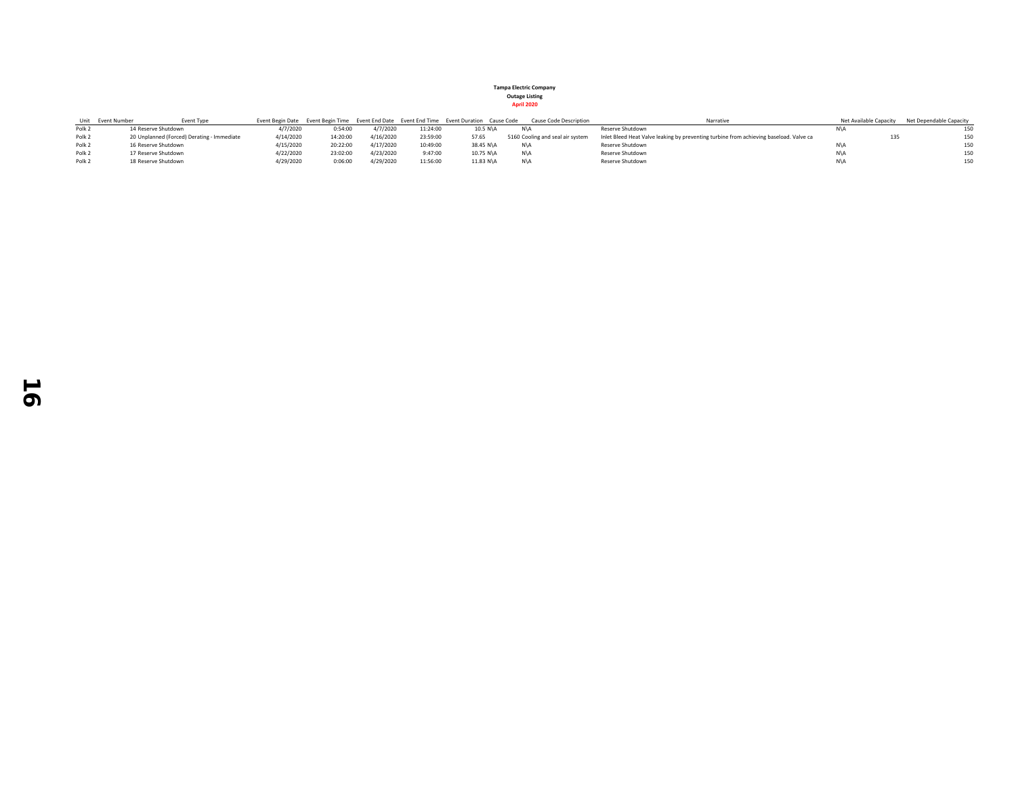|  | <b>April 2020</b> |
|--|-------------------|
|  |                   |

|                   | Unit Event Number | <b>Event Type</b>                          |           |          |           |          | Event Begin Date Event Begin Time Event End Date Event End Time Event Duration Cause Code | <b>Cause Code Description</b>    | Narrative                                                                              | Net Available Capacity | Net Dependable Capacity |
|-------------------|-------------------|--------------------------------------------|-----------|----------|-----------|----------|-------------------------------------------------------------------------------------------|----------------------------------|----------------------------------------------------------------------------------------|------------------------|-------------------------|
| Polk <sub>2</sub> |                   | 14 Reserve Shutdown                        | 4/7/2020  | 0:54:00  | 4/7/2020  | 11:24:00 | 10.5 N\A                                                                                  |                                  | Reserve Shutdown                                                                       |                        |                         |
| Polk <sub>2</sub> |                   | 20 Unplanned (Forced) Derating - Immediate | 4/14/2020 | 14:20:00 | 4/16/2020 | 23:59:00 | 57.65                                                                                     | 5160 Cooling and seal air system | Inlet Bleed Heat Valve leaking by preventing turbine from achieving baseload. Valve ca | 135                    | 150                     |
| Polk <sub>2</sub> |                   | 16 Reserve Shutdown                        | 4/15/2020 | 20:22:00 | 4/17/2020 | 10:49:00 | 38.45 N\A                                                                                 |                                  | Reserve Shutdown                                                                       |                        | 150                     |
| Polk <sub>2</sub> |                   | 17 Reserve Shutdown                        | 4/22/2020 | 23:02:00 | 4/23/2020 | 9:47:00  | 10.75 N\A                                                                                 |                                  | Reserve Shutdown                                                                       |                        | 150                     |
| Polk <sub>2</sub> |                   | 18 Reserve Shutdown                        | 4/29/2020 | 0:06:00  | 4/29/2020 | 11:56:00 | 11.83 N\A                                                                                 |                                  | Reserve Shutdown                                                                       |                        | 150                     |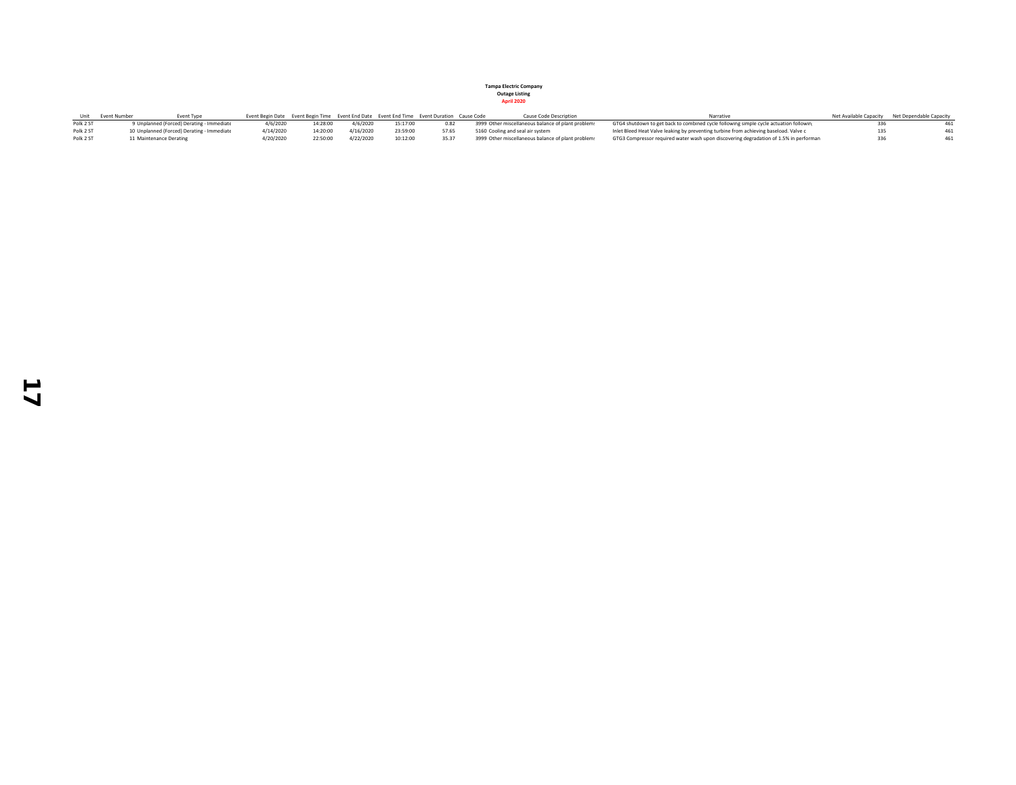|           | Event Number            | Event Type                                       |           | Event Begin Date Event Begin Time Event End Date Event End Time Event Duration Cause Code |           |          |       | Cause Code Description                             | Narrative                                                                              |     | Net Available Capacity Net Dependable Capacity |
|-----------|-------------------------|--------------------------------------------------|-----------|-------------------------------------------------------------------------------------------|-----------|----------|-------|----------------------------------------------------|----------------------------------------------------------------------------------------|-----|------------------------------------------------|
| Polk 2 ST |                         | <b>J Unplanned (Forced) Derating - Immediate</b> | 4/6/2020  | 14:28:00                                                                                  | 4/6/2020  | 15:17:00 | 0.82  | 3999 Other miscellaneous balance of plant problems | GTG4 shutdown to get back to combined cycle following simple cycle actuation following |     |                                                |
| Polk 2 ST |                         | 10 Unplanned (Forced) Derating - Immediate       | 4/14/2020 | 14:20:00                                                                                  | 4/16/2020 | 23:59:00 | 57.65 | 5160 Cooling and seal air system                   | Inlet Bleed Heat Valve leaking by preventing turbine from achieving baseload. Valve c  | 135 |                                                |
| Polk 2 ST | 11 Maintenance Derating |                                                  | 1/20/2020 | 22:50:00                                                                                  | 4/22/2020 | 10:12:00 |       | 3999 Other miscellaneous balance of plant problems | GTG3 Compressor required water wash upon discovering degradation of 1.5% in performan  |     |                                                |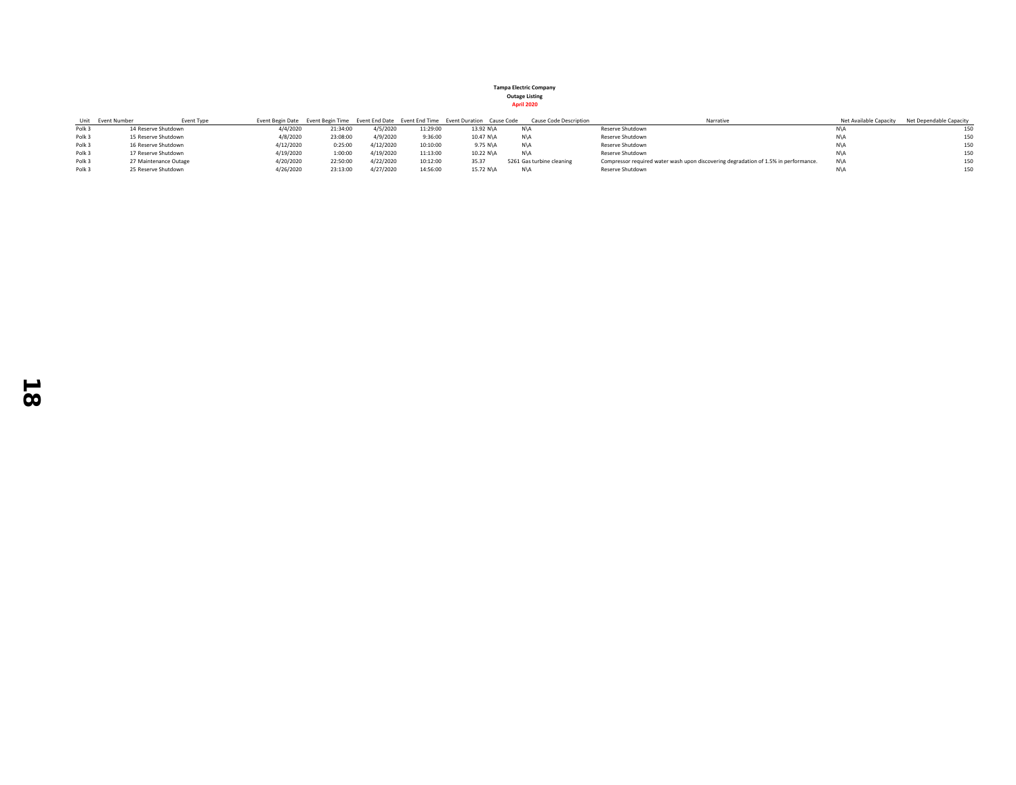|--|

|                   | Event Type<br>Unit Event Number |           |          |           |          | Event Begin Date Event Begin Time Event End Date Event End Time Event Duration Cause Code | Cause Code Description    | Narrative                                                                           | Net Available Capacity | Net Dependable Capacity |
|-------------------|---------------------------------|-----------|----------|-----------|----------|-------------------------------------------------------------------------------------------|---------------------------|-------------------------------------------------------------------------------------|------------------------|-------------------------|
| Polk <sub>3</sub> | 14 Reserve Shutdown             | 4/4/2020  | 21:34:00 | 4/5/2020  | 11:29:00 | 13.92 N\A                                                                                 | N\A                       | Reserve Shutdown                                                                    |                        | 150                     |
| Polk <sub>3</sub> | 15 Reserve Shutdown             | 4/8/2020  | 23:08:00 | 4/9/2020  | 9:36:00  | 10.47 N\A                                                                                 | N\A                       | Reserve Shutdown                                                                    | N\A                    | 150                     |
| Polk <sub>3</sub> | 16 Reserve Shutdown             | 4/12/2020 | 0:25:00  | 4/12/2020 | 10:10:00 | 9.75 N\A                                                                                  | N\A                       | Reserve Shutdown                                                                    | N\A                    | 150                     |
| Polk <sub>3</sub> | 17 Reserve Shutdown             | 4/19/2020 | 1:00:00  | 4/19/2020 | 11:13:00 | 10.22 N\A                                                                                 | N\A                       | Reserve Shutdown                                                                    | N\A                    | 150                     |
| Polk <sub>3</sub> | 27 Maintenance Outage           | 4/20/2020 | 22:50:00 | 4/22/2020 | 10:12:00 | 35.37                                                                                     | 5261 Gas turbine cleaning | Compressor required water wash upon discovering degradation of 1.5% in performance. | N\A                    | 150                     |
| Polk 3            | 25 Reserve Shutdown             | 4/26/2020 | 23:13:00 | 4/27/2020 | 14:56:00 | 15.72 N\A                                                                                 | N\A                       | Reserve Shutdown                                                                    |                        | 150                     |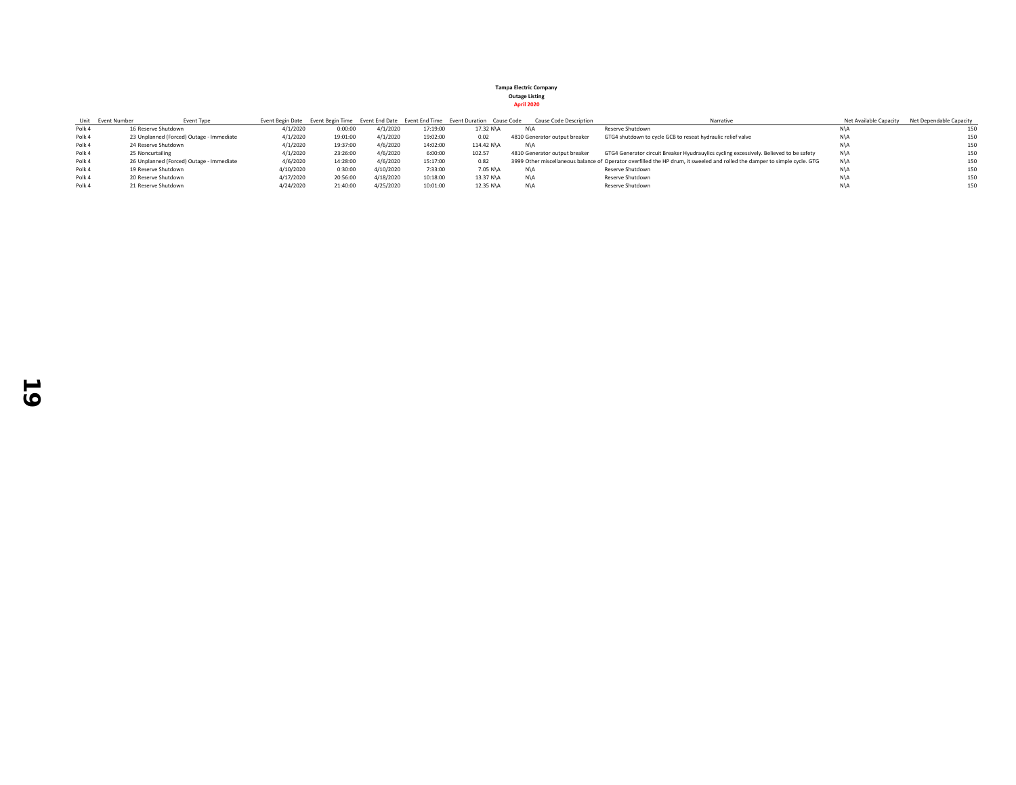|        | Unit Event Number   | <b>Event Type</b>                        |           |          |           |          | Event Begin Date Event Begin Time Event End Date Event End Time Event Duration Cause Code | Cause Code Description        | Narrative                                                                                                                  | Net Available Capacity | Net Dependable Capacity |
|--------|---------------------|------------------------------------------|-----------|----------|-----------|----------|-------------------------------------------------------------------------------------------|-------------------------------|----------------------------------------------------------------------------------------------------------------------------|------------------------|-------------------------|
| Polk 4 | 16 Reserve Shutdown |                                          | 4/1/2020  | 0:00:00  | 4/1/2020  | 17:19:00 | 17.32 N\A                                                                                 | N\A                           | Reserve Shutdown                                                                                                           | N\A                    | 150                     |
| Polk 4 |                     | 23 Unplanned (Forced) Outage - Immediate | 4/1/2020  | 19:01:00 | 4/1/2020  | 19:02:00 | 0.02                                                                                      | 4810 Generator output breaker | GTG4 shutdown to cycle GCB to reseat hydraulic relief valve                                                                | N\A                    | 150                     |
| Polk 4 | 24 Reserve Shutdown |                                          | 4/1/2020  | 19:37:00 | 4/6/2020  | 14:02:00 | 114.42 N\A                                                                                | N\A                           |                                                                                                                            | N\A                    | 150                     |
| Polk 4 | 25 Noncurtailing    |                                          | 4/1/2020  | 23:26:00 | 4/6/2020  | 6:00:00  | 102.57                                                                                    | 4810 Generator output breaker | GTG4 Generator circuit Breaker Hyudrauylics cycling excessively. Believed to be safety                                     | N\A                    | 150                     |
| Polk 4 |                     | 26 Unplanned (Forced) Outage - Immediate | 4/6/2020  | 14:28:00 | 4/6/2020  | 15:17:00 | 0.82                                                                                      |                               | 3999 Other miscellaneous balance of Operator overfilled the HP drum, it sweeled and rolled the damper to simple cycle. GTG | N\A                    | 150                     |
| Polk 4 | 19 Reserve Shutdown |                                          | 4/10/2020 | 0:30:00  | 4/10/2020 | 7:33:00  | 7.05 N\A                                                                                  | N\A                           | Reserve Shutdown                                                                                                           | N\A                    | 150                     |
| Polk 4 | 20 Reserve Shutdown |                                          | 4/17/2020 | 20:56:00 | 4/18/2020 | 10:18:00 | 13.37 N\A                                                                                 | N\A                           | Reserve Shutdown                                                                                                           | N\A                    | 150                     |
| Polk 4 | 21 Reserve Shutdown |                                          | 4/24/2020 | 21:40:00 | 4/25/2020 | 10:01:00 | 12.35 N\A                                                                                 | N\A                           | Reserve Shutdown                                                                                                           | N\A                    | 150                     |